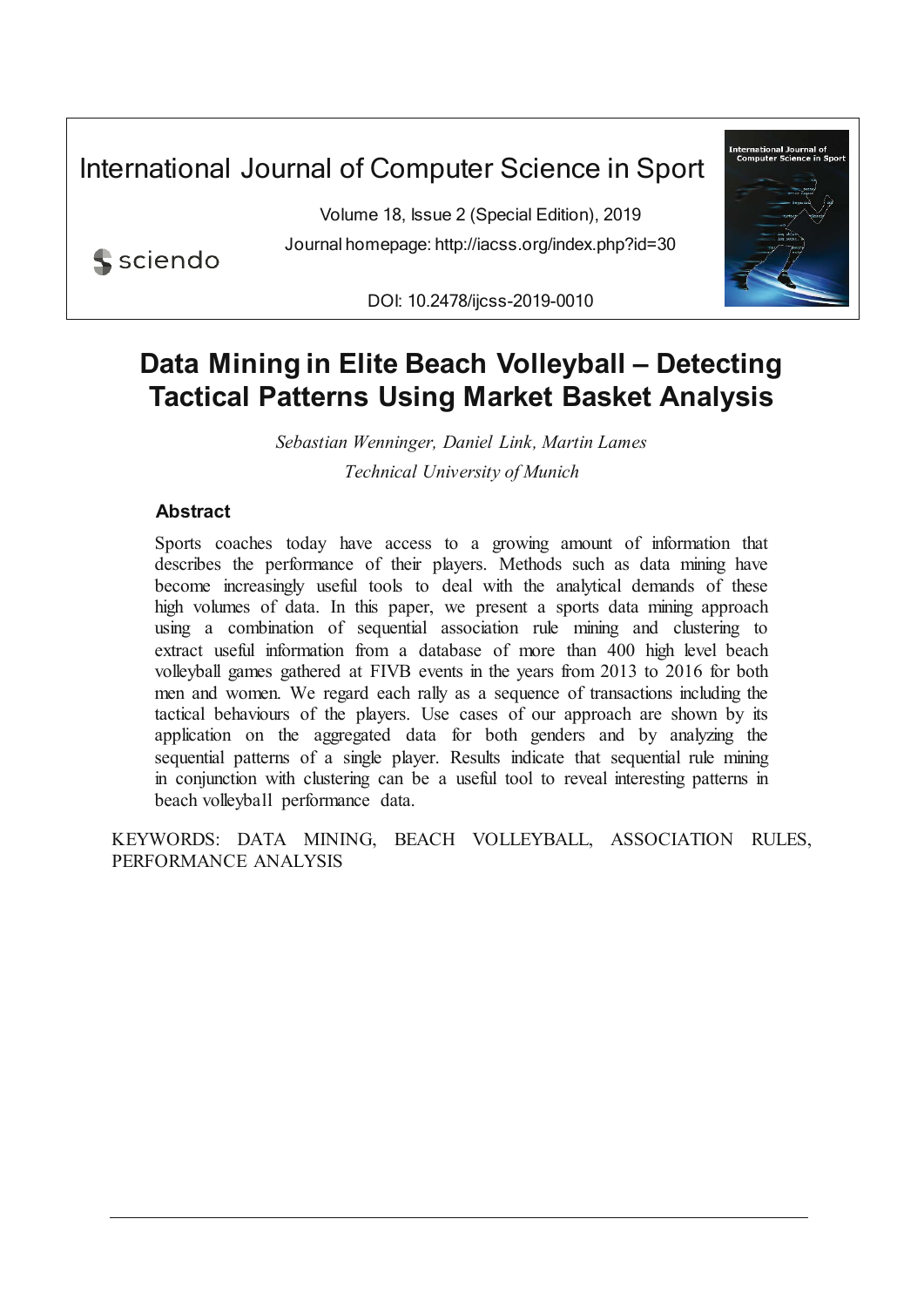International Journal of Computer Science in Sport

Volume 18, Issue 2 (Special Edition), 2019 Journal homepage: http://iacss.org/index.php?id=30



sciendo

DOI: 10.2478/ijcss-2019-0010

# **Data Mining in Elite Beach Volleyball – Detecting Tactical Patterns Using Market Basket Analysis**

*Sebastian Wenninger, Daniel Link, Martin Lames Technical University of Munich*

# **Abstract**

Sports coaches today have access to a growing amount of information that describes the performance of their players. Methods such as data mining have become increasingly useful tools to deal with the analytical demands of these high volumes of data. In this paper, we present a sports data mining approach using a combination of sequential association rule mining and clustering to extract useful information from a database of more than 400 high level beach volleyball games gathered at FIVB events in the years from 2013 to 2016 for both men and women. We regard each rally as a sequence of transactions including the tactical behaviours of the players. Use cases of our approach are shown by its application on the aggregated data for both genders and by analyzing the sequential patterns of a single player. Results indicate that sequential rule mining in conjunction with clustering can be a useful tool to reveal interesting patterns in beach volleyball performance data.

KEYWORDS: DATA MINING, BEACH VOLLEYBALL, ASSOCIATION RULES, PERFORMANCE ANALYSIS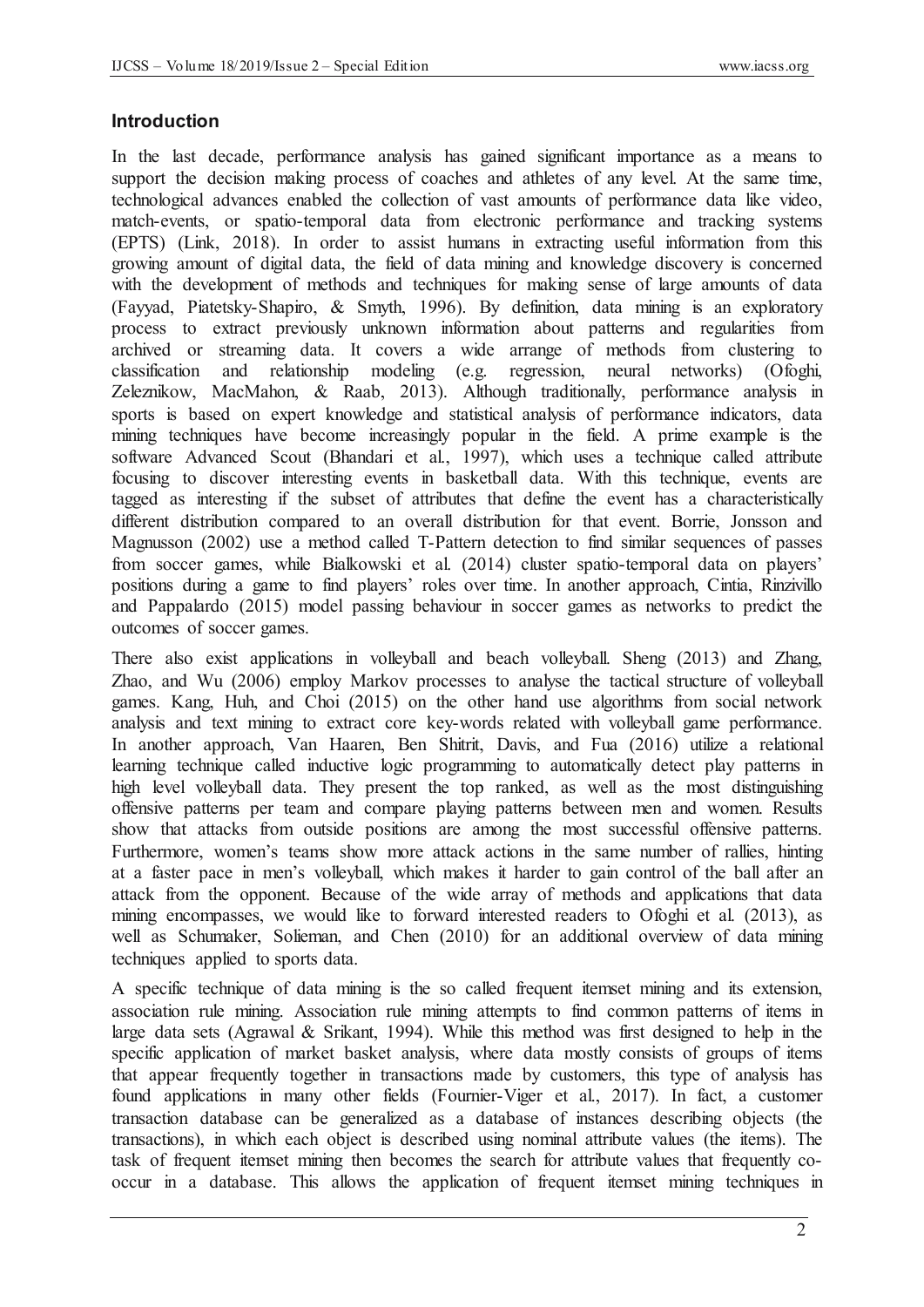#### **Introduction**

In the last decade, performance analysis has gained significant importance as a means to support the decision making process of coaches and athletes of any level. At the same time, technological advances enabled the collection of vast amounts of performance data like video, match-events, or spatio-temporal data from electronic performance and tracking systems (EPTS) (Link, 2018). In order to assist humans in extracting useful information from this growing amount of digital data, the field of data mining and knowledge discovery is concerned with the development of methods and techniques for making sense of large amounts of data (Fayyad, Piatetsky-Shapiro, & Smyth, 1996). By definition, data mining is an exploratory process to extract previously unknown information about patterns and regularities from archived or streaming data. It covers a wide arrange of methods from clustering to classification and relationship modeling (e.g. regression, neural networks) (Ofoghi, Zeleznikow, MacMahon, & Raab, 2013). Although traditionally, performance analysis in sports is based on expert knowledge and statistical analysis of performance indicators, data mining techniques have become increasingly popular in the field. A prime example is the software Advanced Scout (Bhandari et al., 1997), which uses a technique called attribute focusing to discover interesting events in basketball data. With this technique, events are tagged as interesting if the subset of attributes that define the event has a characteristically different distribution compared to an overall distribution for that event. Borrie, Jonsson and Magnusson (2002) use a method called T-Pattern detection to find similar sequences of passes from soccer games, while Bialkowski et al. (2014) cluster spatio-temporal data on players' positions during a game to find players' roles over time. In another approach, Cintia, Rinzivillo and Pappalardo (2015) model passing behaviour in soccer games as networks to predict the outcomes of soccer games.

There also exist applications in volleyball and beach volleyball. Sheng (2013) and Zhang, Zhao, and Wu (2006) employ Markov processes to analyse the tactical structure of volleyball games. Kang, Huh, and Choi (2015) on the other hand use algorithms from social network analysis and text mining to extract core key-words related with volleyball game performance. In another approach, Van Haaren, Ben Shitrit, Davis, and Fua (2016) utilize a relational learning technique called inductive logic programming to automatically detect play patterns in high level volleyball data. They present the top ranked, as well as the most distinguishing offensive patterns per team and compare playing patterns between men and women. Results show that attacks from outside positions are among the most successful offensive patterns. Furthermore, women's teams show more attack actions in the same number of rallies, hinting at a faster pace in men's volleyball, which makes it harder to gain control of the ball after an attack from the opponent. Because of the wide array of methods and applications that data mining encompasses, we would like to forward interested readers to Ofoghi et al. (2013), as well as Schumaker, Solieman, and Chen (2010) for an additional overview of data mining techniques applied to sports data.

A specific technique of data mining is the so called frequent itemset mining and its extension, association rule mining. Association rule mining attempts to find common patterns of items in large data sets (Agrawal & Srikant, 1994). While this method was first designed to help in the specific application of market basket analysis, where data mostly consists of groups of items that appear frequently together in transactions made by customers, this type of analysis has found applications in many other fields (Fournier-Viger et al., 2017). In fact, a customer transaction database can be generalized as a database of instances describing objects (the transactions), in which each object is described using nominal attribute values (the items). The task of frequent itemset mining then becomes the search for attribute values that frequently cooccur in a database. This allows the application of frequent itemset mining techniques in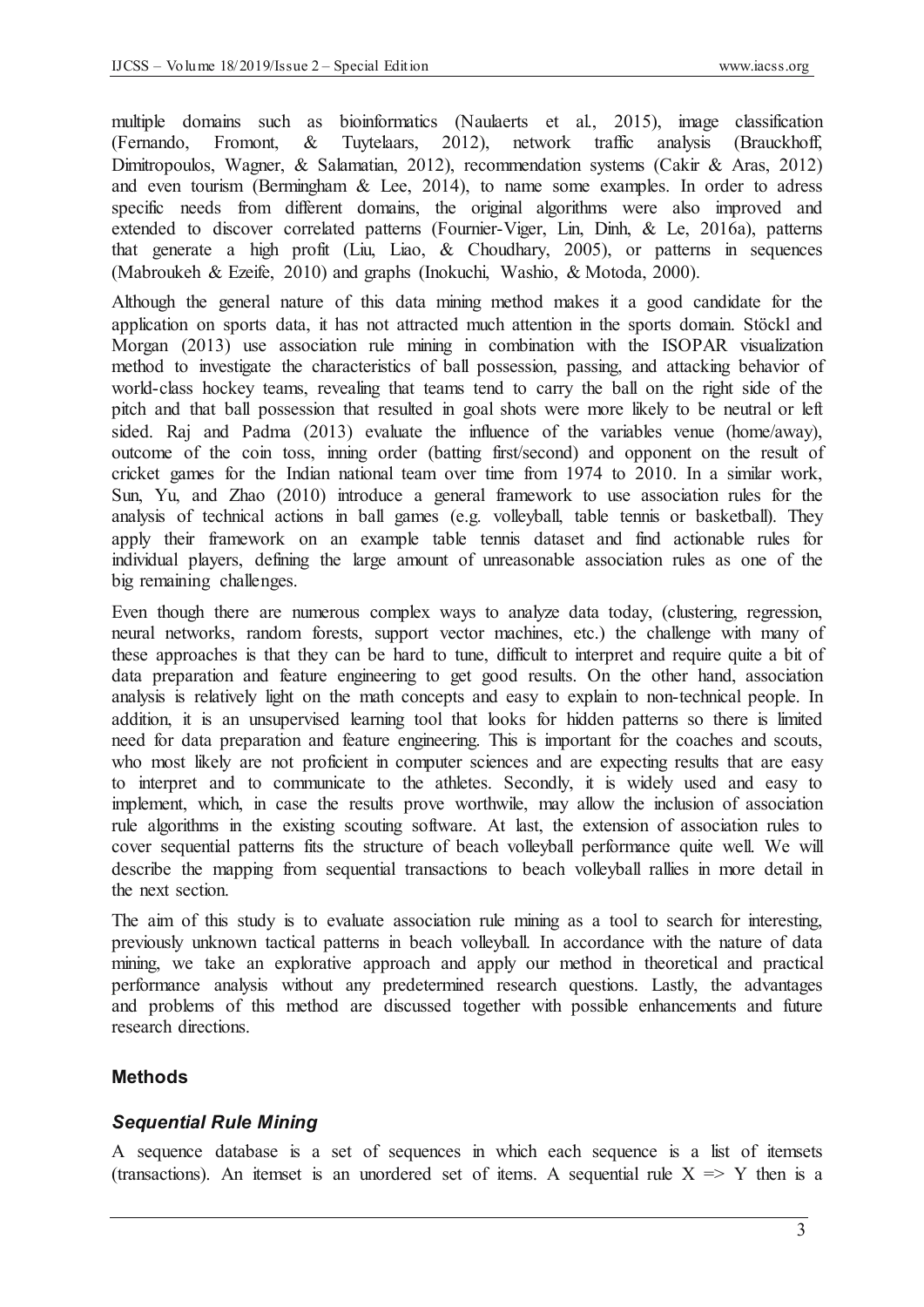multiple domains such as bioinformatics (Naulaerts et al., 2015), image classification (Fernando, Fromont, & Tuytelaars, 2012), network traffic analysis (Brauckhoff, Dimitropoulos, Wagner, & Salamatian, 2012), recommendation systems (Cakir & Aras, 2012) and even tourism (Bermingham & Lee, 2014), to name some examples. In order to adress specific needs from different domains, the original algorithms were also improved and extended to discover correlated patterns (Fournier-Viger, Lin, Dinh, & Le, 2016a), patterns that generate a high profit (Liu, Liao, & Choudhary, 2005), or patterns in sequences (Mabroukeh & Ezeife, 2010) and graphs (Inokuchi, Washio, & Motoda, 2000).

Although the general nature of this data mining method makes it a good candidate for the application on sports data, it has not attracted much attention in the sports domain. Stöckl and Morgan (2013) use association rule mining in combination with the ISOPAR visualization method to investigate the characteristics of ball possession, passing, and attacking behavior of world-class hockey teams, revealing that teams tend to carry the ball on the right side of the pitch and that ball possession that resulted in goal shots were more likely to be neutral or left sided. Raj and Padma (2013) evaluate the influence of the variables venue (home/away), outcome of the coin toss, inning order (batting first/second) and opponent on the result of cricket games for the Indian national team over time from 1974 to 2010. In a similar work, Sun, Yu, and Zhao (2010) introduce a general framework to use association rules for the analysis of technical actions in ball games (e.g. volleyball, table tennis or basketball). They apply their framework on an example table tennis dataset and find actionable rules for individual players, defining the large amount of unreasonable association rules as one of the big remaining challenges.

Even though there are numerous complex ways to analyze data today, (clustering, regression, neural networks, random forests, support vector machines, etc.) the challenge with many of these approaches is that they can be hard to tune, difficult to interpret and require quite a bit of data preparation and feature engineering to get good results. On the other hand, association analysis is relatively light on the math concepts and easy to explain to non-technical people. In addition, it is an unsupervised learning tool that looks for hidden patterns so there is limited need for data preparation and feature engineering. This is important for the coaches and scouts, who most likely are not proficient in computer sciences and are expecting results that are easy to interpret and to communicate to the athletes. Secondly, it is widely used and easy to implement, which, in case the results prove worthwile, may allow the inclusion of association rule algorithms in the existing scouting software. At last, the extension of association rules to cover sequential patterns fits the structure of beach volleyball performance quite well. We will describe the mapping from sequential transactions to beach volleyball rallies in more detail in the next section.

The aim of this study is to evaluate association rule mining as a tool to search for interesting, previously unknown tactical patterns in beach volleyball. In accordance with the nature of data mining, we take an explorative approach and apply our method in theoretical and practical performance analysis without any predetermined research questions. Lastly, the advantages and problems of this method are discussed together with possible enhancements and future research directions.

# **Methods**

### *Sequential Rule Mining*

A sequence database is a set of sequences in which each sequence is a list of itemsets (transactions). An itemset is an unordered set of items. A sequential rule  $X \implies Y$  then is a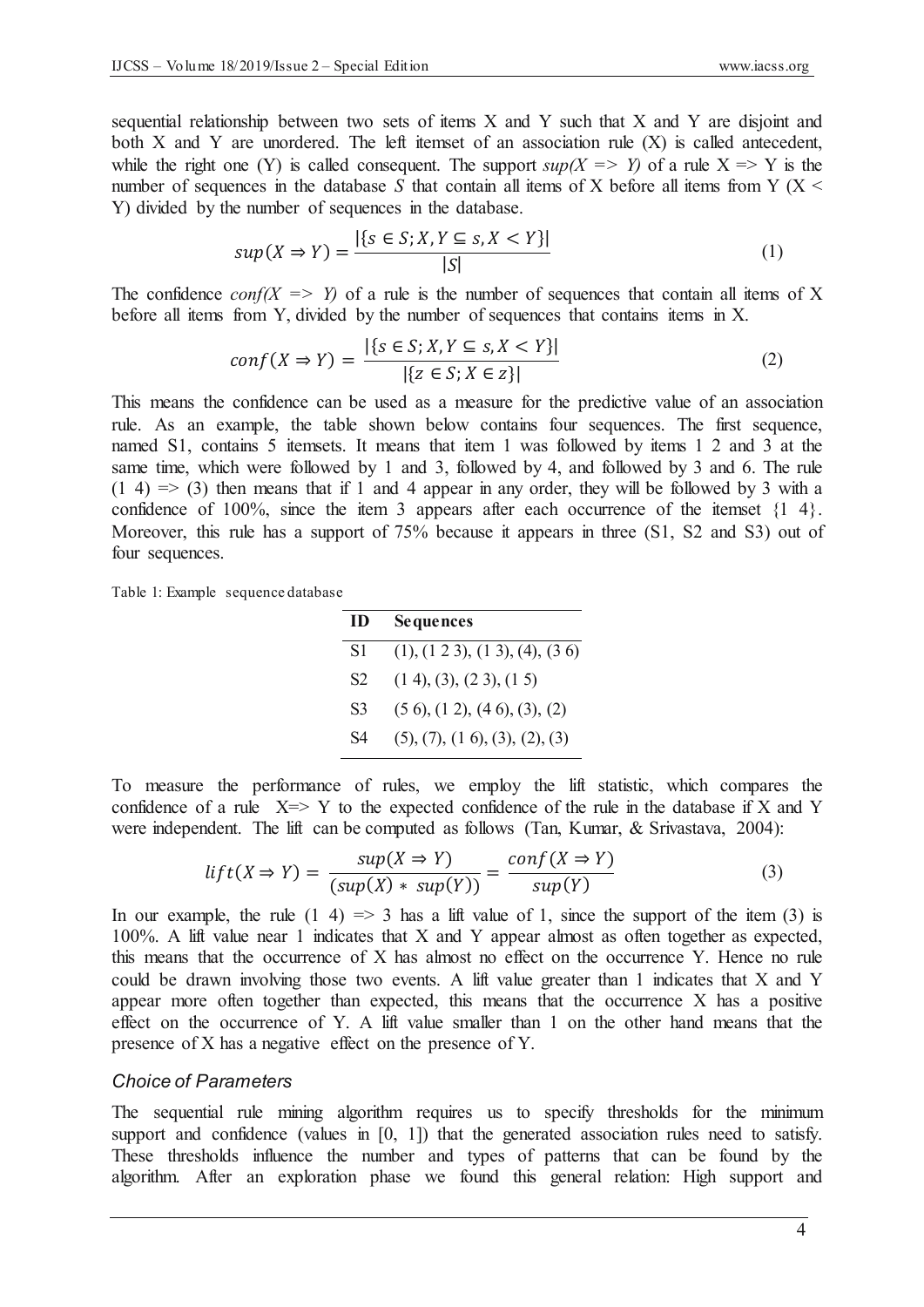sequential relationship between two sets of items  $X$  and  $Y$  such that  $X$  and  $Y$  are disjoint and both  $X$  and  $Y$  are unordered. The left itemset of an association rule  $(X)$  is called antecedent, while the right one (Y) is called consequent. The support  $sup(X \implies Y)$  of a rule  $X \implies Y$  is the number of sequences in the database  $S$  that contain all items of  $X$  before all items from  $Y$  ( $X$  < Y) divided by the number of sequences in the database.

$$
sup(X \Rightarrow Y) = \frac{|\{s \in S; X, Y \subseteq s, X < Y\}|}{|S|} \tag{1}
$$

The confidence *conf(X => Y)* of a rule is the number of sequences that contain all items of X before all items from Y, divided by the number of sequences that contains items in X.

$$
conf(X \Rightarrow Y) = \frac{|\{s \in S; X, Y \subseteq s, X < Y\}|}{|\{z \in S; X \in z\}|} \tag{2}
$$

This means the confidence can be used as a measure for the predictive value of an association rule. As an example, the table shown below contains four sequences. The first sequence, named S1, contains 5 itemsets. It means that item 1 was followed by items 1 2 and 3 at the same time, which were followed by 1 and 3, followed by 4, and followed by 3 and 6. The rule  $(1 4)$  =>  $(3)$  then means that if 1 and 4 appear in any order, they will be followed by 3 with a confidence of 100%, since the item 3 appears after each occurrence of the itemset  $\{1, 4\}$ . Moreover, this rule has a support of 75% because it appears in three (S1, S2 and S3) out of four sequences.

Table 1: Example sequence database

| ID             | <b>Sequences</b>                            |
|----------------|---------------------------------------------|
| S1             | (1), (1 2 3), (1 3), (4), (3 6)             |
| S <sub>2</sub> | $(1\ 4), (3), (2\ 3), (1\ 5)$               |
| S <sub>3</sub> | $(5 6)$ , $(1 2)$ , $(4 6)$ , $(3)$ , $(2)$ |
| S4             | (5), (7), (1, 6), (3), (2), (3)             |

To measure the performance of rules, we employ the lift statistic, which compares the confidence of a rule  $X \Rightarrow Y$  to the expected confidence of the rule in the database if X and Y were independent. The lift can be computed as follows (Tan, Kumar, & Srivastava, 2004):

$$
lift(X \Rightarrow Y) = \frac{sup(X \Rightarrow Y)}{(sup(X) * sup(Y))} = \frac{conf(X \Rightarrow Y)}{sup(Y)}
$$
(3)

In our example, the rule  $(1\;4) \Rightarrow 3$  has a lift value of 1, since the support of the item  $(3)$  is 100%. A lift value near 1 indicates that X and Y appear almost as often together as expected, this means that the occurrence of X has almost no effect on the occurrence Y. Hence no rule could be drawn involving those two events. A lift value greater than 1 indicates that X and Y appear more often together than expected, this means that the occurrence X has a positive effect on the occurrence of Y. A lift value smaller than 1 on the other hand means that the presence of X has a negative effect on the presence of Y.

#### *Choice of Parameters*

The sequential rule mining algorithm requires us to specify thresholds for the minimum support and confidence (values in [0, 1]) that the generated association rules need to satisfy. These thresholds influence the number and types of patterns that can be found by the algorithm. After an exploration phase we found this general relation: High support and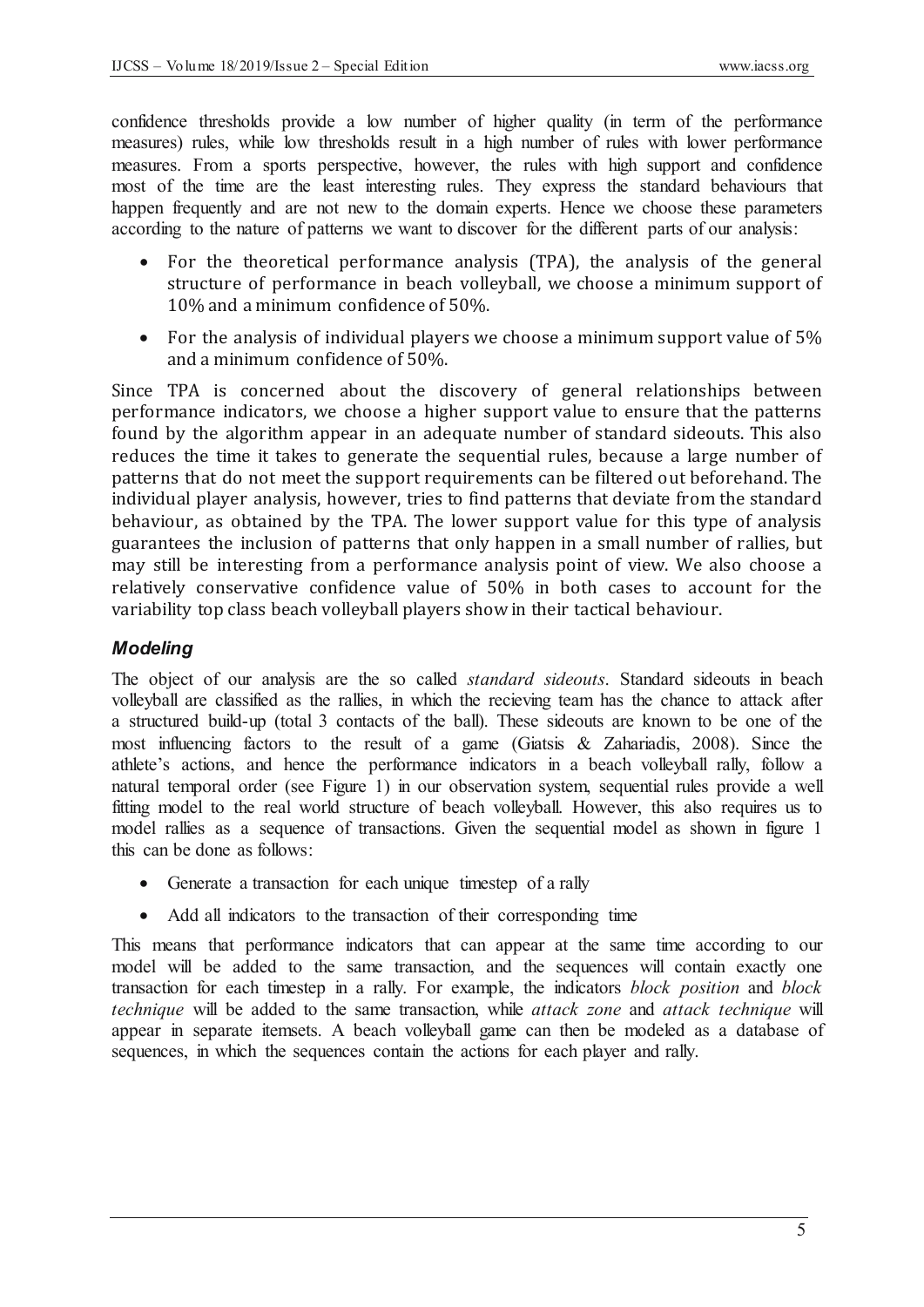confidence thresholds provide a low number of higher quality (in term of the performance measures) rules, while low thresholds result in a high number of rules with lower performance measures. From a sports perspective, however, the rules with high support and confidence most of the time are the least interesting rules. They express the standard behaviours that happen frequently and are not new to the domain experts. Hence we choose these parameters according to the nature of patterns we want to discover for the different parts of our analysis:

- For the theoretical performance analysis (TPA), the analysis of the general structure of performance in beach volleyball, we choose a minimum support of 10% and a minimum confidence of 50%.
- For the analysis of individual players we choose a minimum support value of  $5\%$ and a minimum confidence of 50%.

Since TPA is concerned about the discovery of general relationships between performance indicators, we choose a higher support value to ensure that the patterns found by the algorithm appear in an adequate number of standard sideouts. This also reduces the time it takes to generate the sequential rules, because a large number of patterns that do not meet the support requirements can be filtered out beforehand. The individual player analysis, however, tries to find patterns that deviate from the standard behaviour, as obtained by the TPA. The lower support value for this type of analysis guarantees the inclusion of patterns that only happen in a small number of rallies, but may still be interesting from a performance analysis point of view. We also choose a relatively conservative confidence value of 50% in both cases to account for the variability top class beach volleyball players show in their tactical behaviour.

## *Modeling*

The object of our analysis are the so called *standard sideouts*. Standard sideouts in beach volleyball are classified as the rallies, in which the recieving team has the chance to attack after a structured build-up (total 3 contacts of the ball). These sideouts are known to be one of the most influencing factors to the result of a game (Giatsis & Zahariadis, 2008). Since the athlete's actions, and hence the performance indicators in a beach volleyball rally, follow a natural temporal order (see Figure 1) in our observation system, sequential rules provide a well fitting model to the real world structure of beach volleyball. However, this also requires us to model rallies as a sequence of transactions. Given the sequential model as shown in figure 1 this can be done as follows:

- Generate a transaction for each unique timestep of a rally
- Add all indicators to the transaction of their corresponding time

This means that performance indicators that can appear at the same time according to our model will be added to the same transaction, and the sequences will contain exactly one transaction for each timestep in a rally. For example, the indicators *block position* and *block technique* will be added to the same transaction, while *attack zone* and *attack technique* will appear in separate itemsets. A beach volleyball game can then be modeled as a database of sequences, in which the sequences contain the actions for each player and rally.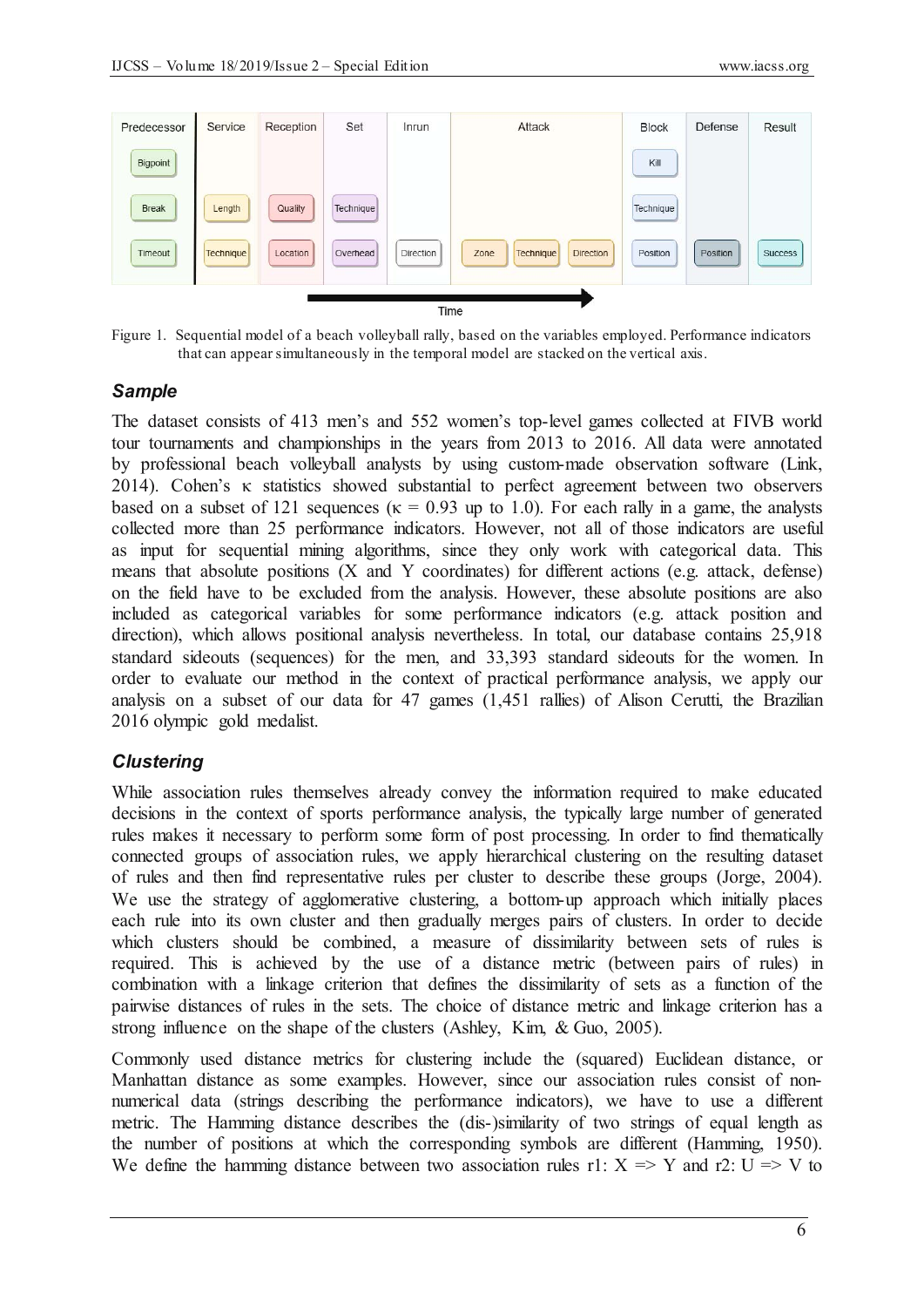

Figure 1. Sequential model of a beach volleyball rally, based on the variables employed. Performance indicators that can appear simultaneously in the temporal model are stacked on the vertical axis.

#### *Sample*

The dataset consists of 413 men's and 552 women's top-level games collected at FIVB world tour tournaments and championships in the years from 2013 to 2016. All data were annotated by professional beach volleyball analysts by using custom-made observation software (Link,  $2014$ ). Cohen's  $\kappa$  statistics showed substantial to perfect agreement between two observers based on a subset of 121 sequences ( $\kappa = 0.93$  up to 1.0). For each rally in a game, the analysts collected more than 25 performance indicators. However, not all of those indicators are useful as input for sequential mining algorithms, since they only work with categorical data. This means that absolute positions (X and Y coordinates) for different actions (e.g. attack, defense) on the field have to be excluded from the analysis. However, these absolute positions are also included as categorical variables for some performance indicators (e.g. attack position and direction), which allows positional analysis nevertheless. In total, our database contains 25,918 standard sideouts (sequences) for the men, and 33,393 standard sideouts for the women. In order to evaluate our method in the context of practical performance analysis, we apply our analysis on a subset of our data for 47 games (1,451 rallies) of Alison Cerutti, the Brazilian 2016 olympic gold medalist.

### *Clustering*

While association rules themselves already convey the information required to make educated decisions in the context of sports performance analysis, the typically large number of generated rules makes it necessary to perform some form of post processing. In order to find thematically connected groups of association rules, we apply hierarchical clustering on the resulting dataset of rules and then find representative rules per cluster to describe these groups (Jorge, 2004). We use the strategy of agglomerative clustering, a bottom-up approach which initially places each rule into its own cluster and then gradually merges pairs of clusters. In order to decide which clusters should be combined, a measure of dissimilarity between sets of rules is required. This is achieved by the use of a distance metric (between pairs of rules) in combination with a linkage criterion that defines the dissimilarity of sets as a function of the pairwise distances of rules in the sets. The choice of distance metric and linkage criterion has a strong influence on the shape of the clusters (Ashley, Kim, & Guo, 2005).

Commonly used distance metrics for clustering include the (squared) Euclidean distance, or Manhattan distance as some examples. However, since our association rules consist of nonnumerical data (strings describing the performance indicators), we have to use a different metric. The Hamming distance describes the (dis-)similarity of two strings of equal length as the number of positions at which the corresponding symbols are different (Hamming, 1950). We define the hamming distance between two association rules r1:  $X \Rightarrow Y$  and r2:  $U \Rightarrow V$  to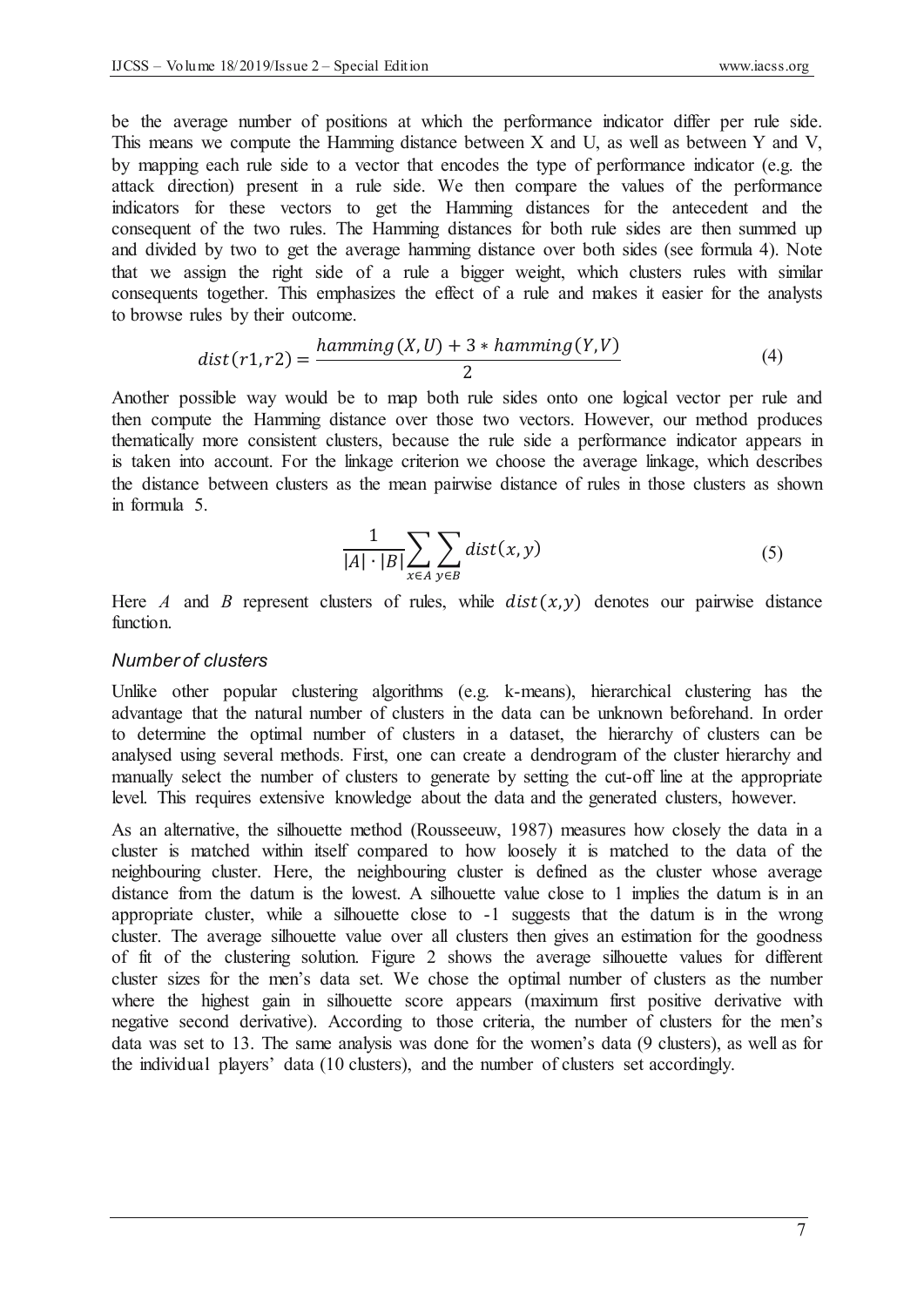be the average number of positions at which the performance indicator differ per rule side. This means we compute the Hamming distance between X and U, as well as between Y and V, by mapping each rule side to a vector that encodes the type of performance indicator (e.g. the attack direction) present in a rule side. We then compare the values of the performance indicators for these vectors to get the Hamming distances for the antecedent and the consequent of the two rules. The Hamming distances for both rule sides are then summed up and divided by two to get the average hamming distance over both sides (see formula 4). Note that we assign the right side of a rule a bigger weight, which clusters rules with similar consequents together. This emphasizes the effect of a rule and makes it easier for the analysts to browse rules by their outcome.

$$
dist(r1,r2) = \frac{hamming(X,U) + 3 * hamming(Y,V)}{2}
$$
\n(4)

Another possible way would be to map both rule sides onto one logical vector per rule and then compute the Hamming distance over those two vectors. However, our method produces thematically more consistent clusters, because the rule side a performance indicator appears in is taken into account. For the linkage criterion we choose the average linkage, which describes the distance between clusters as the mean pairwise distance of rules in those clusters as shown in formula 5.

$$
\frac{1}{|A|\cdot|B|} \sum_{x \in A} \sum_{y \in B} dist(x, y) \tag{5}
$$

Here *A* and *B* represent clusters of rules, while  $dist(x, y)$  denotes our pairwise distance function.

#### *Number of clusters*

Unlike other popular clustering algorithms (e.g. k-means), hierarchical clustering has the advantage that the natural number of clusters in the data can be unknown beforehand. In order to determine the optimal number of clusters in a dataset, the hierarchy of clusters can be analysed using several methods. First, one can create a dendrogram of the cluster hierarchy and manually select the number of clusters to generate by setting the cut-off line at the appropriate level. This requires extensive knowledge about the data and the generated clusters, however.

As an alternative, the silhouette method (Rousseeuw, 1987) measures how closely the data in a cluster is matched within itself compared to how loosely it is matched to the data of the neighbouring cluster. Here, the neighbouring cluster is defined as the cluster whose average distance from the datum is the lowest. A silhouette value close to 1 implies the datum is in an appropriate cluster, while a silhouette close to -1 suggests that the datum is in the wrong cluster. The average silhouette value over all clusters then gives an estimation for the goodness of fit of the clustering solution. Figure 2 shows the average silhouette values for different cluster sizes for the men's data set. We chose the optimal number of clusters as the number where the highest gain in silhouette score appears (maximum first positive derivative with negative second derivative). According to those criteria, the number of clusters for the men's data was set to 13. The same analysis was done for the women's data (9 clusters), as well as for the individual players' data (10 clusters), and the number of clusters set accordingly.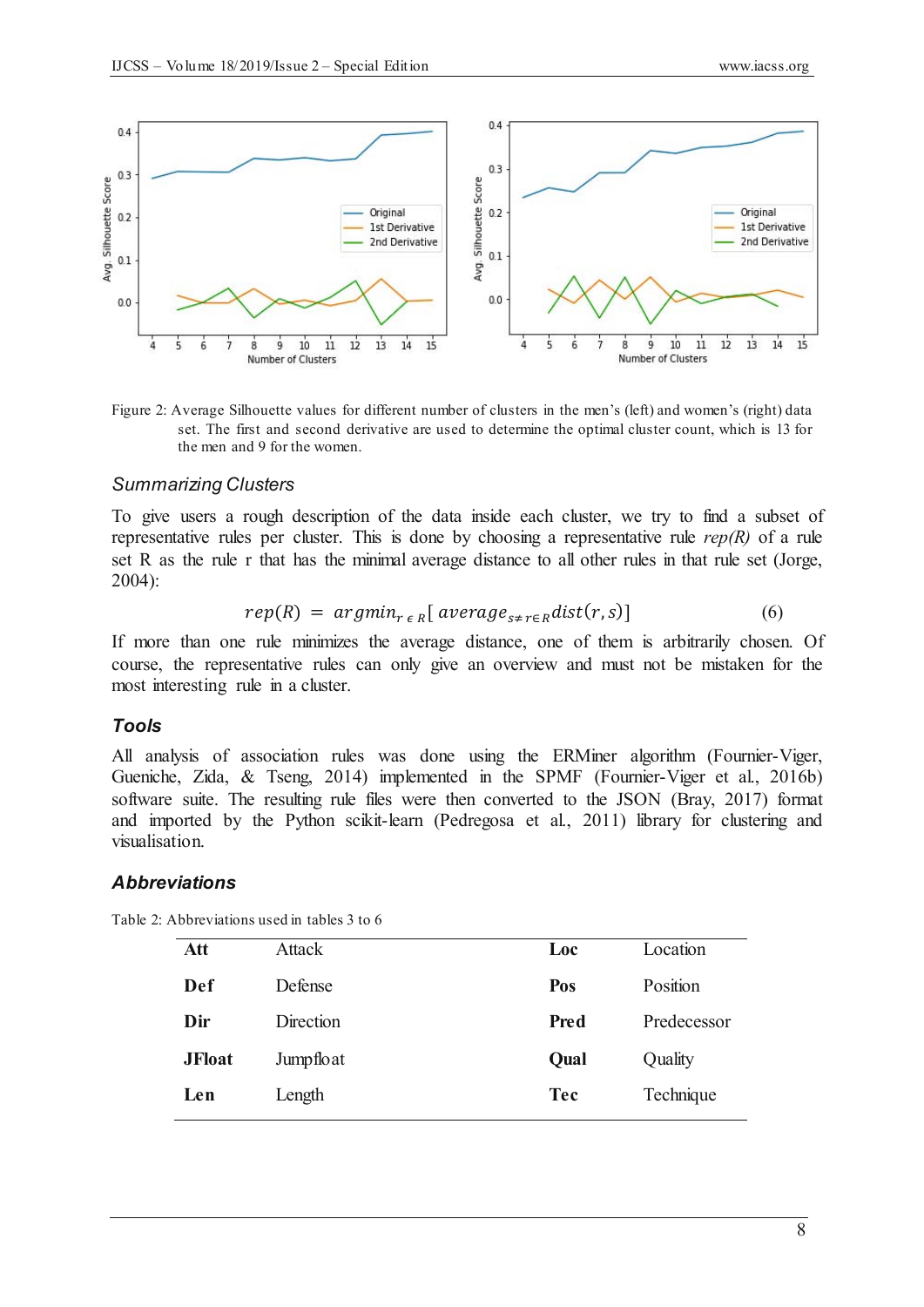

Figure 2: Average Silhouette values for different number of clusters in the men's (left) and women's (right) data set. The first and second derivative are used to determine the optimal cluster count, which is 13 for the men and 9 for the women.

#### *Summarizing Clusters*

To give users a rough description of the data inside each cluster, we try to find a subset of representative rules per cluster. This is done by choosing a representative rule *rep(R)* of a rule set R as the rule r that has the minimal average distance to all other rules in that rule set (Jorge, 2004):

$$
rep(R) = argmin_{r \in R} [average_{s \neq r \in R} dist(r, s)] \qquad (6)
$$

If more than one rule minimizes the average distance, one of them is arbitrarily chosen. Of course, the representative rules can only give an overview and must not be mistaken for the most interesting rule in a cluster.

#### *Tools*

All analysis of association rules was done using the ERMiner algorithm (Fournier-Viger, Gueniche, Zida, & Tseng, 2014) implemented in the SPMF (Fournier-Viger et al., 2016b) software suite. The resulting rule files were then converted to the JSON (Bray, 2017) format and imported by the Python scikit-learn (Pedregosa et al., 2011) library for clustering and visualisation.

#### *Abbreviations*

Table 2: Abbreviations used in tables 3 to 6

| Att           | <b>Attack</b> | Loc        | Location    |
|---------------|---------------|------------|-------------|
| Def           | Defense       | Pos        | Position    |
| Dir           | Direction     | Pred       | Predecessor |
| <b>JFloat</b> | Jumpfloat     | Qual       | Quality     |
| Len           | Length        | <b>Tec</b> | Technique   |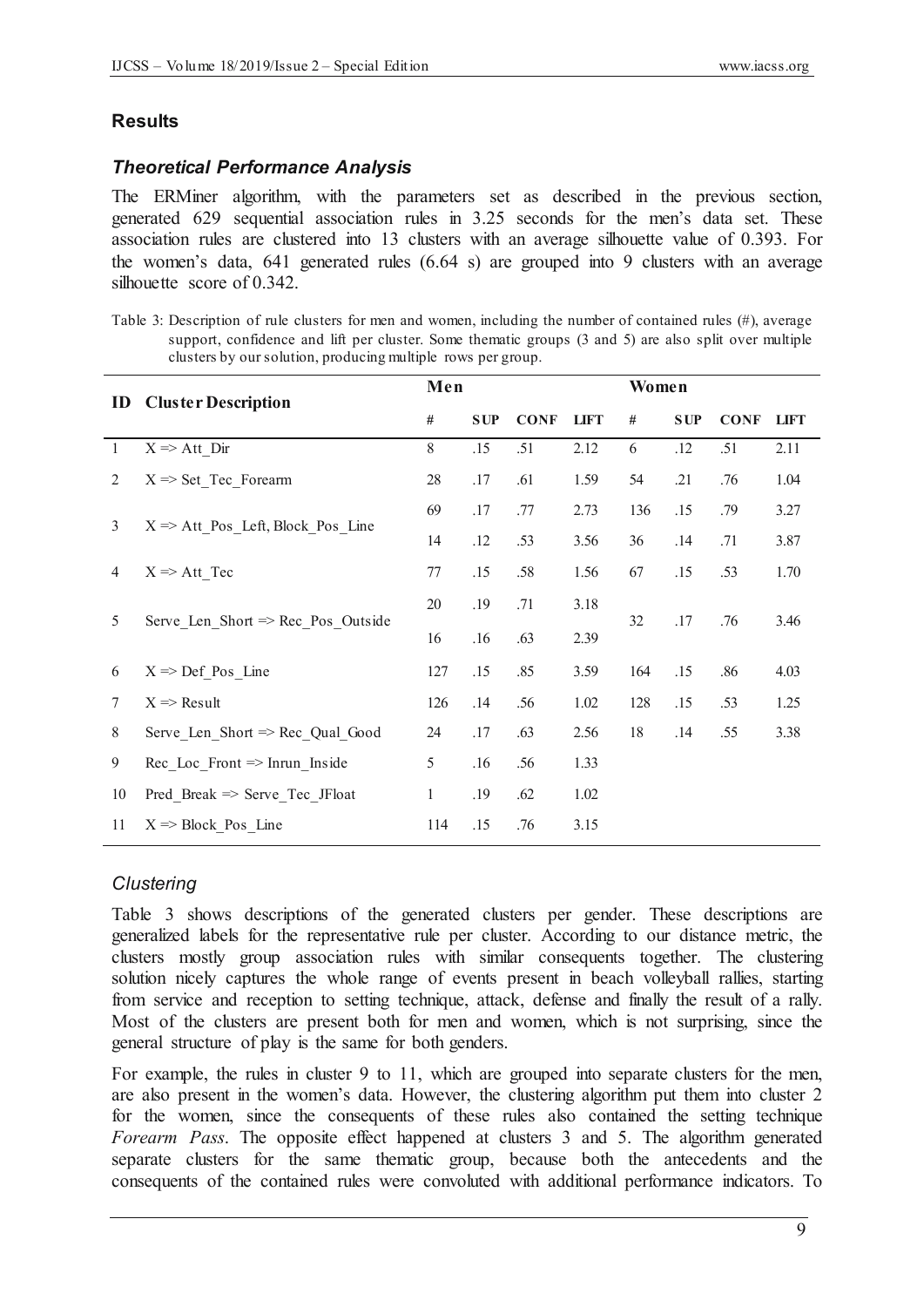## **Results**

## *Theoretical Performance Analysis*

The ERMiner algorithm, with the parameters set as described in the previous section, generated 629 sequential association rules in 3.25 seconds for the men's data set. These association rules are clustered into 13 clusters with an average silhouette value of 0.393. For the women's data, 641 generated rules (6.64 s) are grouped into 9 clusters with an average silhouette score of 0.342.

Table 3: Description of rule clusters for men and women, including the number of contained rules (#), average support, confidence and lift per cluster. Some thematic groups (3 and 5) are also split over multiple clusters by our solution, producing multiple rows per group.

| <b>Cluster Description</b>                   | Men          |            |             |             | Women |            |             |             |
|----------------------------------------------|--------------|------------|-------------|-------------|-------|------------|-------------|-------------|
|                                              | #            | <b>SUP</b> | <b>CONF</b> | <b>LIFT</b> | #     | <b>SUP</b> | <b>CONF</b> | <b>LIFT</b> |
| $X \Rightarrow$ Att Dir                      | 8            | .15        | .51         | 2.12        | 6     | .12        | .51         | 2.11        |
| $X \Rightarrow$ Set Tec Forearm              | 28           | .17        | .61         | 1.59        | 54    | .21        | .76         | 1.04        |
| $X \Rightarrow$ Att Pos Left, Block Pos Line | 69           | .17        | .77         | 2.73        | 136   | .15        | .79         | 3.27        |
|                                              | 14           | .12        | .53         | 3.56        | 36    | .14        | .71         | 3.87        |
| $X \Rightarrow$ Att Tec                      | 77           | .15        | .58         | 1.56        | 67    | .15        | .53         | 1.70        |
| Serve Len Short => Rec Pos Outside           | 20           | .19        | .71         | 3.18        | 32    |            |             | 3.46        |
|                                              | 16           | .16        | .63         | 2.39        |       |            |             |             |
| $X \Rightarrow$ Def Pos_Line                 | 127          | .15        | .85         | 3.59        | 164   | .15        | .86         | 4.03        |
| $X \Rightarrow$ Result                       | 126          | .14        | .56         | 1.02        | 128   | .15        | .53         | 1.25        |
| Serve Len Short => Rec Qual Good             | 24           | .17        | .63         | 2.56        | 18    | .14        | .55         | 3.38        |
| Rec Loc_Front $\Rightarrow$ Inrun_Inside     | 5            | .16        | .56         | 1.33        |       |            |             |             |
| Pred Break $\Rightarrow$ Serve Tec JFloat    | $\mathbf{1}$ | .19        | .62         | 1.02        |       |            |             |             |
| $X \Rightarrow Block_Pos_Line$               | 114          | .15        | .76         | 3.15        |       |            |             |             |
|                                              |              |            |             |             |       |            | .17         | .76         |

### *Clustering*

Table 3 shows descriptions of the generated clusters per gender. These descriptions are generalized labels for the representative rule per cluster. According to our distance metric, the clusters mostly group association rules with similar consequents together. The clustering solution nicely captures the whole range of events present in beach volleyball rallies, starting from service and reception to setting technique, attack, defense and finally the result of a rally. Most of the clusters are present both for men and women, which is not surprising, since the general structure of play is the same for both genders.

For example, the rules in cluster 9 to 11, which are grouped into separate clusters for the men, are also present in the women's data. However, the clustering algorithm put them into cluster 2 for the women, since the consequents of these rules also contained the setting technique *Forearm Pass*. The opposite effect happened at clusters 3 and 5. The algorithm generated separate clusters for the same thematic group, because both the antecedents and the consequents of the contained rules were convoluted with additional performance indicators. To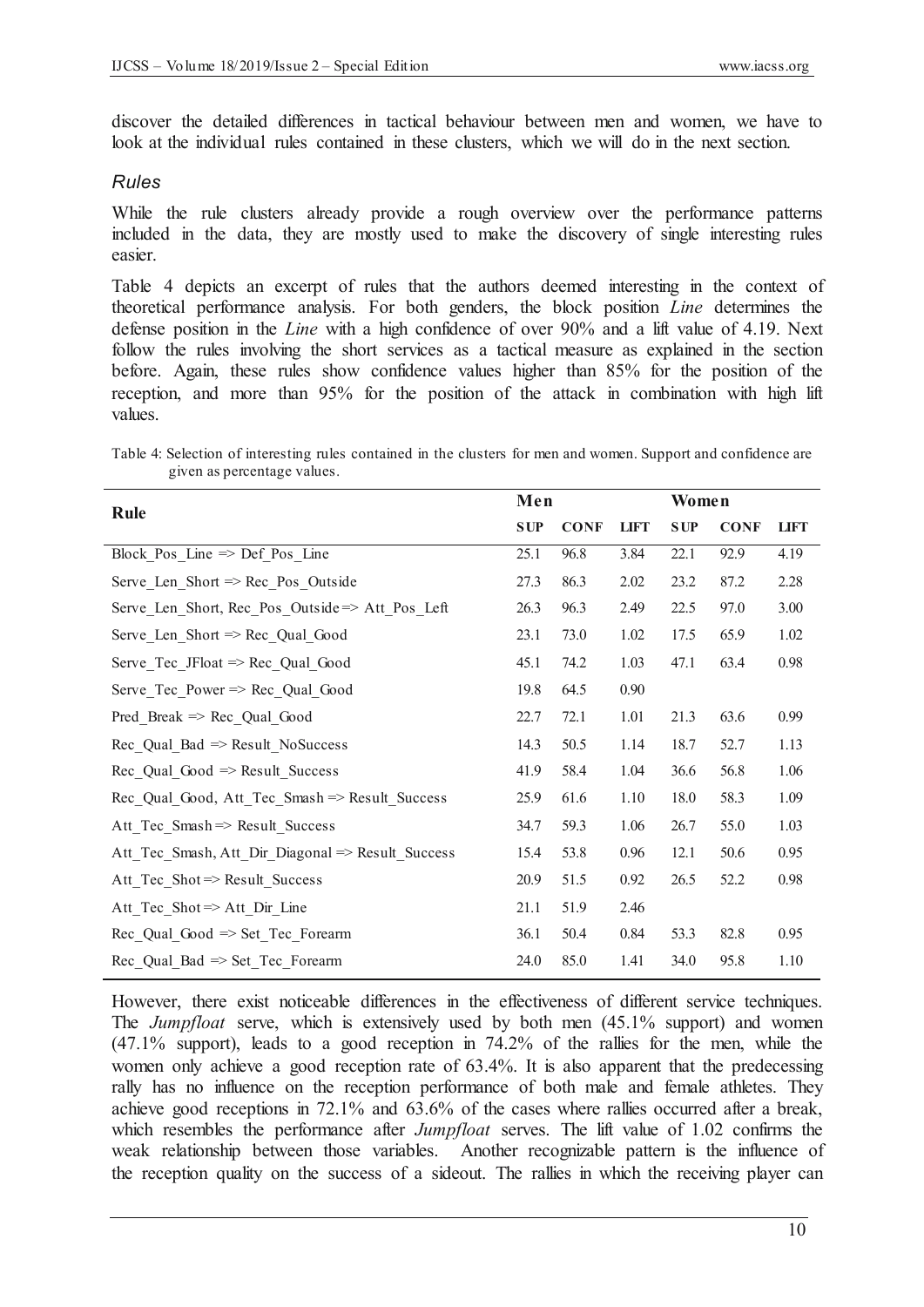discover the detailed differences in tactical behaviour between men and women, we have to look at the individual rules contained in these clusters, which we will do in the next section.

#### *Rules*

While the rule clusters already provide a rough overview over the performance patterns included in the data, they are mostly used to make the discovery of single interesting rules easier.

Table 4 depicts an excerpt of rules that the authors deemed interesting in the context of theoretical performance analysis. For both genders, the block position *Line* determines the defense position in the *Line* with a high confidence of over 90% and a lift value of 4.19. Next follow the rules involving the short services as a tactical measure as explained in the section before. Again, these rules show confidence values higher than 85% for the position of the reception, and more than 95% for the position of the attack in combination with high lift values.

Table 4: Selection of interesting rules contained in the clusters for men and women. Support and confidence are given as percentage values.

| <b>SUP</b> | <b>CONF</b> | <b>LIFT</b> | <b>SUP</b> | <b>CONF</b> | <b>LIFT</b> |  |
|------------|-------------|-------------|------------|-------------|-------------|--|
| 25.1       | 96.8        | 3.84        | 22.1       | 92.9        | 4.19        |  |
| 27.3       | 86.3        | 2.02        | 23.2       | 87.2        | 2.28        |  |
| 26.3       | 96.3        | 2.49        | 22.5       | 97.0        | 3.00        |  |
| 23.1       | 73.0        | 1.02        | 17.5       | 65.9        | 1.02        |  |
| 45.1       | 74.2        | 1.03        | 47.1       | 63.4        | 0.98        |  |
| 19.8       | 64.5        | 0.90        |            |             |             |  |
| 22.7       | 72.1        | 1.01        | 21.3       | 63.6        | 0.99        |  |
| 14.3       | 50.5        | 1.14        | 18.7       | 52.7        | 1.13        |  |
| 41.9       | 58.4        | 1.04        | 36.6       | 56.8        | 1.06        |  |
| 25.9       | 61.6        | 1.10        | 18.0       | 58.3        | 1.09        |  |
| 34.7       | 59.3        | 1.06        | 26.7       | 55.0        | 1.03        |  |
| 15.4       | 53.8        | 0.96        | 12.1       | 50.6        | 0.95        |  |
| 20.9       | 51.5        | 0.92        | 26.5       | 52.2        | 0.98        |  |
| 21.1       | 51.9        | 2.46        |            |             |             |  |
| 36.1       | 50.4        | 0.84        | 53.3       | 82.8        | 0.95        |  |
| 24.0       | 85.0        | 1.41        | 34.0       | 95.8        | 1.10        |  |
|            | Men         |             |            |             | Women       |  |

However, there exist noticeable differences in the effectiveness of different service techniques. The *Jumpfloat* serve, which is extensively used by both men (45.1% support) and women (47.1% support), leads to a good reception in 74.2% of the rallies for the men, while the women only achieve a good reception rate of 63.4%. It is also apparent that the predecessing rally has no influence on the reception performance of both male and female athletes. They achieve good receptions in 72.1% and 63.6% of the cases where rallies occurred after a break, which resembles the performance after *Jumpfloat* serves. The lift value of 1.02 confirms the weak relationship between those variables. Another recognizable pattern is the influence of the reception quality on the success of a sideout. The rallies in which the receiving player can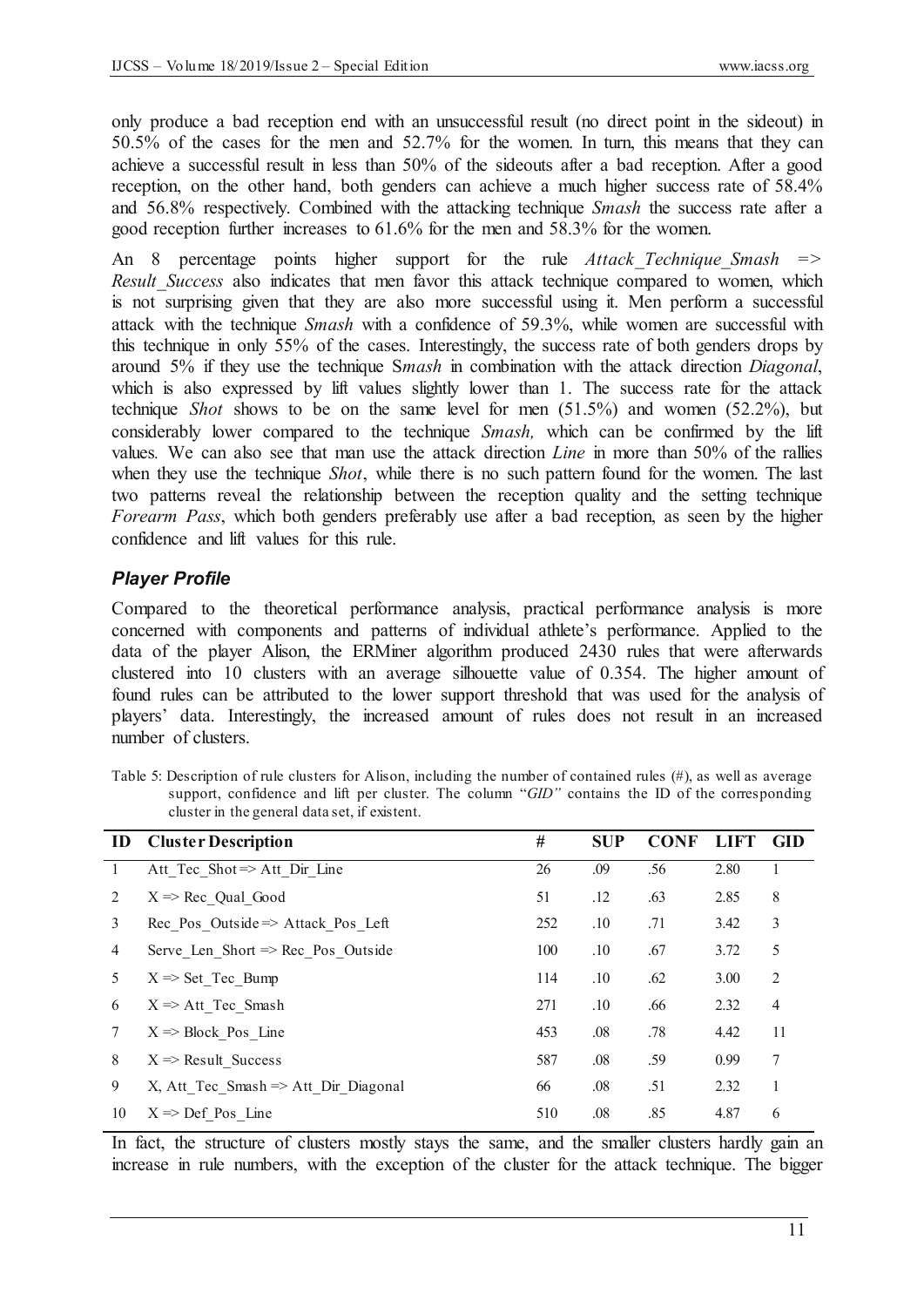only produce a bad reception end with an unsuccessful result (no direct point in the sideout) in 50.5% of the cases for the men and 52.7% for the women. In turn, this means that they can achieve a successful result in less than 50% of the sideouts after a bad reception. After a good reception, on the other hand, both genders can achieve a much higher success rate of 58.4% and 56.8% respectively. Combined with the attacking technique *Smash* the success rate after a good reception further increases to 61.6% for the men and 58.3% for the women.

An 8 percentage points higher support for the rule *Attack Technique Smash* => *Result Success* also indicates that men favor this attack technique compared to women, which is not surprising given that they are also more successful using it. Men perform a successful attack with the technique *Smash* with a confidence of 59.3%, while women are successful with this technique in only 55% of the cases. Interestingly, the success rate of both genders drops by around 5% if they use the technique S*mash* in combination with the attack direction *Diagonal*, which is also expressed by lift values slightly lower than 1. The success rate for the attack technique *Shot* shows to be on the same level for men (51.5%) and women (52.2%), but considerably lower compared to the technique *Smash,* which can be confirmed by the lift values*.* We can also see that man use the attack direction *Line* in more than 50% of the rallies when they use the technique *Shot*, while there is no such pattern found for the women. The last two patterns reveal the relationship between the reception quality and the setting technique *Forearm Pass*, which both genders preferably use after a bad reception, as seen by the higher confidence and lift values for this rule.

# *Player Profile*

Compared to the theoretical performance analysis, practical performance analysis is more concerned with components and patterns of individual athlete's performance. Applied to the data of the player Alison, the ERMiner algorithm produced 2430 rules that were afterwards clustered into 10 clusters with an average silhouette value of 0.354. The higher amount of found rules can be attributed to the lower support threshold that was used for the analysis of players' data. Interestingly, the increased amount of rules does not result in an increased number of clusters.

Table 5: Description of rule clusters for Alison, including the number of contained rules (#), as well as average support, confidence and lift per cluster. The column "*GID"* contains the ID of the corresponding cluster in the general data set, if existent.

|    | <b>ID</b> Cluster Description                   | #   | <b>SUP</b> | <b>CONF</b> | <b>LIFT</b> | <b>GID</b> |
|----|-------------------------------------------------|-----|------------|-------------|-------------|------------|
|    | Att Tec Shot=> Att Dir Line                     | 26  | .09        | .56         | 2.80        |            |
| 2  | $X \Rightarrow$ Rec Qual Good                   | 51  | .12        | .63         | 2.85        | 8          |
| 3  | Rec Pos Outside $\Rightarrow$ Attack Pos Left   | 252 | .10        | .71         | 3.42        | 3          |
| 4  | Serve Len Short $\Rightarrow$ Rec Pos Outside   | 100 | .10        | .67         | 3.72        | 5          |
| 5  | $X \Rightarrow$ Set Tec Bump                    | 114 | .10        | .62         | 3.00        | 2          |
| 6  | $X \Rightarrow$ Att Tec Smash                   | 271 | .10        | .66         | 2.32        | 4          |
|    | $X \Rightarrow Block Pos$ Line                  | 453 | .08        | .78         | 4.42        | 11         |
| 8  | $X \Rightarrow$ Result Success                  | 587 | .08        | .59         | 0.99        | 7          |
| 9  | X, Att Tec Smash $\Rightarrow$ Att Dir Diagonal | 66  | .08        | .51         | 2.32        | 1          |
| 10 | $X \Rightarrow$ Def Pos Line                    | 510 | .08        | .85         | 4.87        | 6          |

In fact, the structure of clusters mostly stays the same, and the smaller clusters hardly gain an increase in rule numbers, with the exception of the cluster for the attack technique. The bigger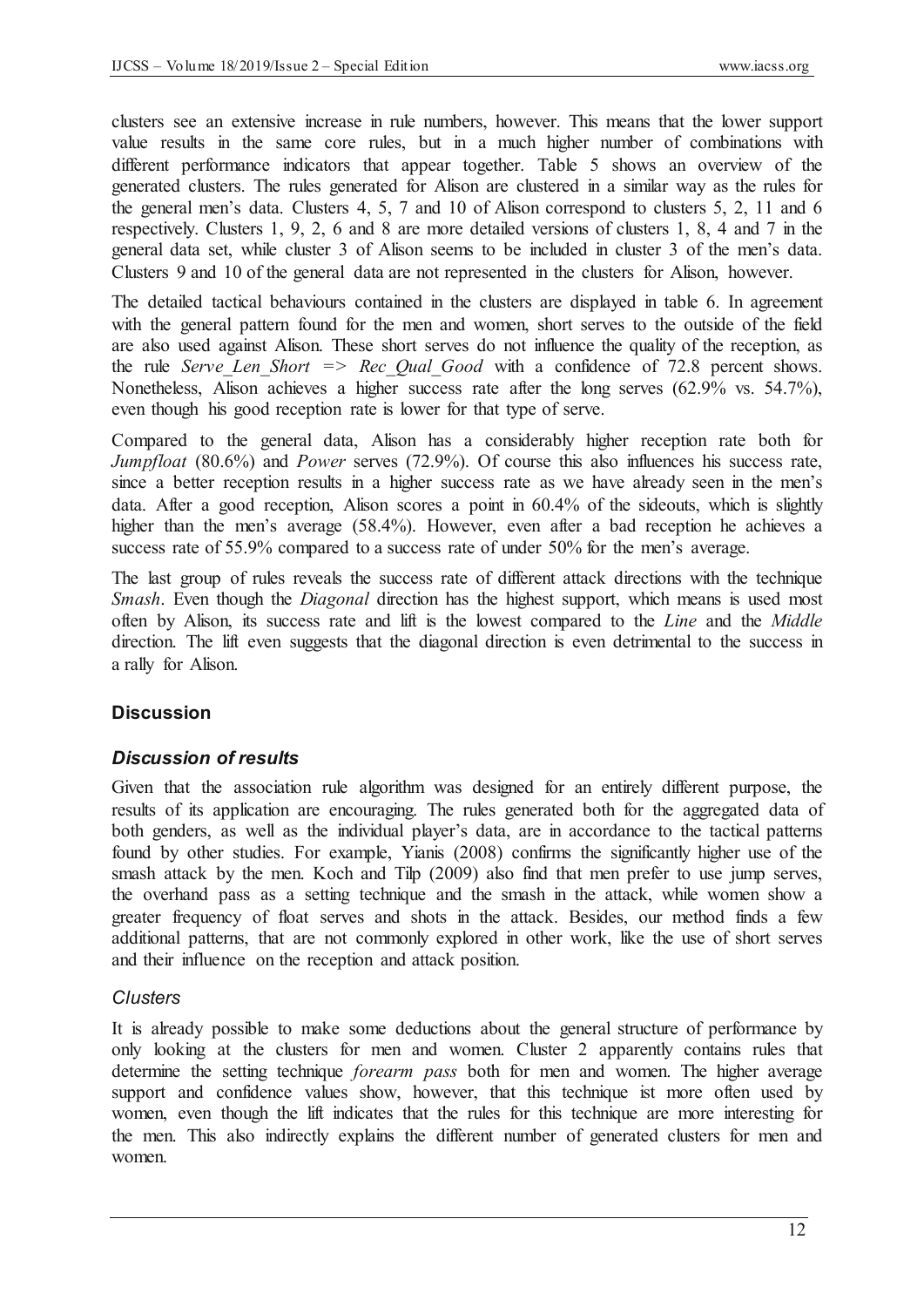clusters see an extensive increase in rule numbers, however. This means that the lower support value results in the same core rules, but in a much higher number of combinations with different performance indicators that appear together. Table 5 shows an overview of the generated clusters. The rules generated for Alison are clustered in a similar way as the rules for the general men's data. Clusters 4, 5, 7 and 10 of Alison correspond to clusters 5, 2, 11 and 6 respectively. Clusters 1, 9, 2, 6 and 8 are more detailed versions of clusters 1, 8, 4 and 7 in the general data set, while cluster 3 of Alison seems to be included in cluster 3 of the men's data. Clusters 9 and 10 of the general data are not represented in the clusters for Alison, however.

The detailed tactical behaviours contained in the clusters are displayed in table 6. In agreement with the general pattern found for the men and women, short serves to the outside of the field are also used against Alison. These short serves do not influence the quality of the reception, as the rule *Serve\_Len\_Short => Rec\_Qual\_Good* with a confidence of 72.8 percent shows. Nonetheless, Alison achieves a higher success rate after the long serves (62.9% vs. 54.7%), even though his good reception rate is lower for that type of serve.

Compared to the general data, Alison has a considerably higher reception rate both for *Jumpfloat* (80.6%) and *Power* serves (72.9%). Of course this also influences his success rate, since a better reception results in a higher success rate as we have already seen in the men's data. After a good reception, Alison scores a point in 60.4% of the sideouts, which is slightly higher than the men's average (58.4%). However, even after a bad reception he achieves a success rate of 55.9% compared to a success rate of under 50% for the men's average.

The last group of rules reveals the success rate of different attack directions with the technique *Smash*. Even though the *Diagonal* direction has the highest support, which means is used most often by Alison, its success rate and lift is the lowest compared to the *Line* and the *Middle* direction. The lift even suggests that the diagonal direction is even detrimental to the success in a rally for Alison.

# **Discussion**

### *Discussion of results*

Given that the association rule algorithm was designed for an entirely different purpose, the results of its application are encouraging. The rules generated both for the aggregated data of both genders, as well as the individual player's data, are in accordance to the tactical patterns found by other studies. For example, Yianis (2008) confirms the significantly higher use of the smash attack by the men. Koch and Tilp (2009) also find that men prefer to use jump serves, the overhand pass as a setting technique and the smash in the attack, while women show a greater frequency of float serves and shots in the attack. Besides, our method finds a few additional patterns, that are not commonly explored in other work, like the use of short serves and their influence on the reception and attack position.

### *Clusters*

It is already possible to make some deductions about the general structure of performance by only looking at the clusters for men and women. Cluster 2 apparently contains rules that determine the setting technique *forearm pass* both for men and women. The higher average support and confidence values show, however, that this technique ist more often used by women, even though the lift indicates that the rules for this technique are more interesting for the men. This also indirectly explains the different number of generated clusters for men and women.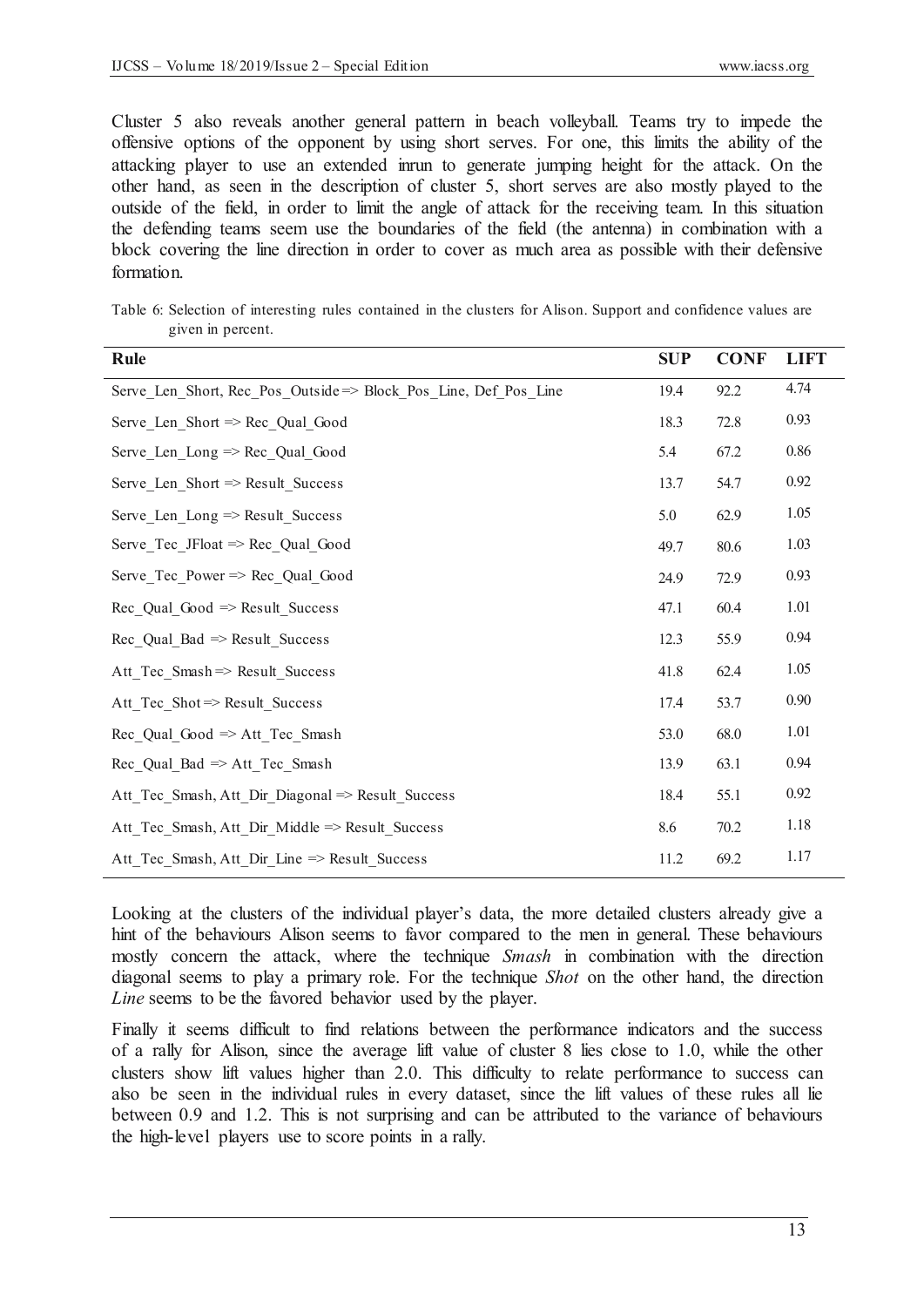Cluster 5 also reveals another general pattern in beach volleyball. Teams try to impede the offensive options of the opponent by using short serves. For one, this limits the ability of the attacking player to use an extended inrun to generate jumping height for the attack. On the other hand, as seen in the description of cluster 5, short serves are also mostly played to the outside of the field, in order to limit the angle of attack for the receiving team. In this situation the defending teams seem use the boundaries of the field (the antenna) in combination with a block covering the line direction in order to cover as much area as possible with their defensive formation.

Table 6: Selection of interesting rules contained in the clusters for Alison. Support and confidence values are given in percent.

| <b>Rule</b>                                                      | <b>SUP</b> | <b>CONF</b> | <b>LIFT</b> |
|------------------------------------------------------------------|------------|-------------|-------------|
| Serve Len Short, Rec Pos Outside => Block Pos Line, Def Pos Line | 19.4       | 92.2        | 4.74        |
| Serve Len Short $\Rightarrow$ Rec Qual Good                      | 18.3       | 72.8        | 0.93        |
| Serve_Len_Long $\Rightarrow$ Rec_Qual_Good                       | 5.4        | 67.2        | 0.86        |
| Serve_Len_Short => Result_Success                                | 13.7       | 54.7        | 0.92        |
| Serve Len Long $\Rightarrow$ Result Success                      | 5.0        | 62.9        | 1.05        |
| Serve Tec JFloat $\Rightarrow$ Rec Qual Good                     | 49.7       | 80.6        | 1.03        |
| Serve Tec Power => Rec Qual Good                                 | 24.9       | 72.9        | 0.93        |
| Rec Qual Good $\Rightarrow$ Result Success                       | 47.1       | 60.4        | 1.01        |
| Rec Qual Bad $\Rightarrow$ Result Success                        | 12.3       | 55.9        | 0.94        |
| Att Tec Smash => Result Success                                  | 41.8       | 62.4        | 1.05        |
| Att Tec_Shot => Result_Success                                   | 17.4       | 53.7        | 0.90        |
| $Rec$ Qual Good $\Rightarrow$ Att Tec Smash                      | 53.0       | 68.0        | 1.01        |
| Rec Qual Bad $\Rightarrow$ Att Tec Smash                         | 13.9       | 63.1        | 0.94        |
| Att Tec Smash, Att Dir Diagonal => Result Success                | 18.4       | 55.1        | 0.92        |
| Att Tec Smash, Att Dir Middle => Result Success                  | 8.6        | 70.2        | 1.18        |
| Att Tec Smash, Att Dir Line => Result Success                    | 11.2       | 69.2        | 1.17        |

Looking at the clusters of the individual player's data, the more detailed clusters already give a hint of the behaviours Alison seems to favor compared to the men in general. These behaviours mostly concern the attack, where the technique *Smash* in combination with the direction diagonal seems to play a primary role. For the technique *Shot* on the other hand, the direction *Line* seems to be the favored behavior used by the player.

Finally it seems difficult to find relations between the performance indicators and the success of a rally for Alison, since the average lift value of cluster 8 lies close to 1.0, while the other clusters show lift values higher than 2.0. This difficulty to relate performance to success can also be seen in the individual rules in every dataset, since the lift values of these rules all lie between 0.9 and 1.2. This is not surprising and can be attributed to the variance of behaviours the high-level players use to score points in a rally.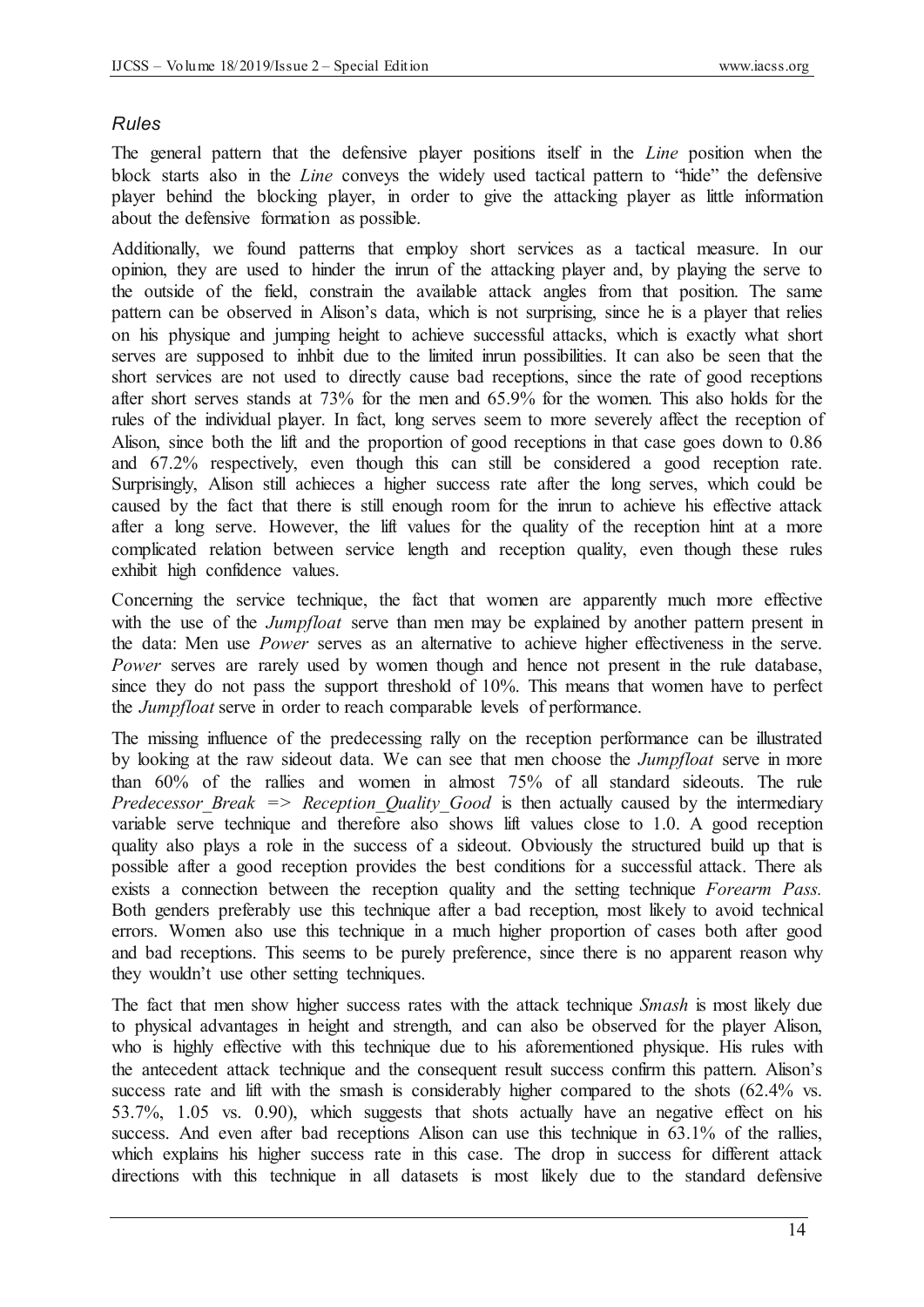## *Rules*

The general pattern that the defensive player positions itself in the *Line* position when the block starts also in the *Line* conveys the widely used tactical pattern to "hide" the defensive player behind the blocking player, in order to give the attacking player as little information about the defensive formation as possible.

Additionally, we found patterns that employ short services as a tactical measure. In our opinion, they are used to hinder the inrun of the attacking player and, by playing the serve to the outside of the field, constrain the available attack angles from that position. The same pattern can be observed in Alison's data, which is not surprising, since he is a player that relies on his physique and jumping height to achieve successful attacks, which is exactly what short serves are supposed to inhbit due to the limited inrun possibilities. It can also be seen that the short services are not used to directly cause bad receptions, since the rate of good receptions after short serves stands at 73% for the men and 65.9% for the women. This also holds for the rules of the individual player. In fact, long serves seem to more severely affect the reception of Alison, since both the lift and the proportion of good receptions in that case goes down to 0.86 and 67.2% respectively, even though this can still be considered a good reception rate. Surprisingly, Alison still achieces a higher success rate after the long serves, which could be caused by the fact that there is still enough room for the inrun to achieve his effective attack after a long serve. However, the lift values for the quality of the reception hint at a more complicated relation between service length and reception quality, even though these rules exhibit high confidence values.

Concerning the service technique, the fact that women are apparently much more effective with the use of the *Jumpfloat* serve than men may be explained by another pattern present in the data: Men use *Power* serves as an alternative to achieve higher effectiveness in the serve. *Power* serves are rarely used by women though and hence not present in the rule database, since they do not pass the support threshold of 10%. This means that women have to perfect the *Jumpfloat* serve in order to reach comparable levels of performance.

The missing influence of the predecessing rally on the reception performance can be illustrated by looking at the raw sideout data. We can see that men choose the *Jumpfloat* serve in more than 60% of the rallies and women in almost 75% of all standard sideouts. The rule *Predecessor Break => Reception Quality Good is then actually caused by the intermediary* variable serve technique and therefore also shows lift values close to 1.0. A good reception quality also plays a role in the success of a sideout. Obviously the structured build up that is possible after a good reception provides the best conditions for a successful attack. There als exists a connection between the reception quality and the setting technique *Forearm Pass.*  Both genders preferably use this technique after a bad reception, most likely to avoid technical errors. Women also use this technique in a much higher proportion of cases both after good and bad receptions. This seems to be purely preference, since there is no apparent reason why they wouldn't use other setting techniques.

The fact that men show higher success rates with the attack technique *Smash* is most likely due to physical advantages in height and strength, and can also be observed for the player Alison, who is highly effective with this technique due to his aforementioned physique. His rules with the antecedent attack technique and the consequent result success confirm this pattern. Alison's success rate and lift with the smash is considerably higher compared to the shots (62.4% vs. 53.7%, 1.05 vs. 0.90), which suggests that shots actually have an negative effect on his success. And even after bad receptions Alison can use this technique in 63.1% of the rallies, which explains his higher success rate in this case. The drop in success for different attack directions with this technique in all datasets is most likely due to the standard defensive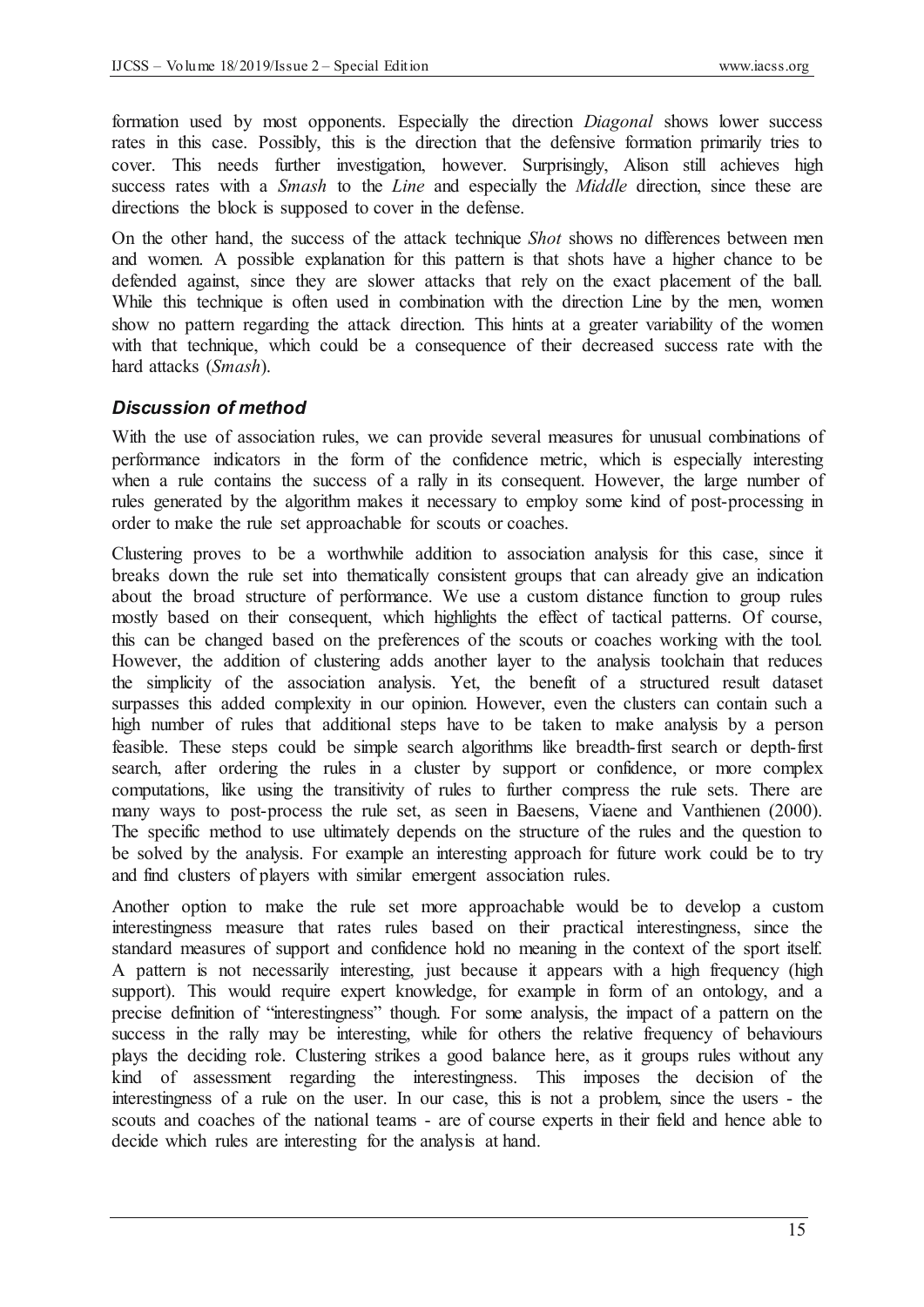formation used by most opponents. Especially the direction *Diagonal* shows lower success rates in this case. Possibly, this is the direction that the defensive formation primarily tries to cover. This needs further investigation, however. Surprisingly, Alison still achieves high success rates with a *Smash* to the *Line* and especially the *Middle* direction, since these are directions the block is supposed to cover in the defense.

On the other hand, the success of the attack technique *Shot* shows no differences between men and women. A possible explanation for this pattern is that shots have a higher chance to be defended against, since they are slower attacks that rely on the exact placement of the ball. While this technique is often used in combination with the direction Line by the men, women show no pattern regarding the attack direction. This hints at a greater variability of the women with that technique, which could be a consequence of their decreased success rate with the hard attacks (*Smash*).

## *Discussion of method*

With the use of association rules, we can provide several measures for unusual combinations of performance indicators in the form of the confidence metric, which is especially interesting when a rule contains the success of a rally in its consequent. However, the large number of rules generated by the algorithm makes it necessary to employ some kind of post-processing in order to make the rule set approachable for scouts or coaches.

Clustering proves to be a worthwhile addition to association analysis for this case, since it breaks down the rule set into thematically consistent groups that can already give an indication about the broad structure of performance. We use a custom distance function to group rules mostly based on their consequent, which highlights the effect of tactical patterns. Of course, this can be changed based on the preferences of the scouts or coaches working with the tool. However, the addition of clustering adds another layer to the analysis toolchain that reduces the simplicity of the association analysis. Yet, the benefit of a structured result dataset surpasses this added complexity in our opinion. However, even the clusters can contain such a high number of rules that additional steps have to be taken to make analysis by a person feasible. These steps could be simple search algorithms like breadth-first search or depth-first search, after ordering the rules in a cluster by support or confidence, or more complex computations, like using the transitivity of rules to further compress the rule sets. There are many ways to post-process the rule set, as seen in Baesens, Viaene and Vanthienen (2000). The specific method to use ultimately depends on the structure of the rules and the question to be solved by the analysis. For example an interesting approach for future work could be to try and find clusters of players with similar emergent association rules.

Another option to make the rule set more approachable would be to develop a custom interestingness measure that rates rules based on their practical interestingness, since the standard measures of support and confidence hold no meaning in the context of the sport itself. A pattern is not necessarily interesting, just because it appears with a high frequency (high support). This would require expert knowledge, for example in form of an ontology, and a precise definition of "interestingness" though. For some analysis, the impact of a pattern on the success in the rally may be interesting, while for others the relative frequency of behaviours plays the deciding role. Clustering strikes a good balance here, as it groups rules without any kind of assessment regarding the interestingness. This imposes the decision of the interestingness of a rule on the user. In our case, this is not a problem, since the users - the scouts and coaches of the national teams - are of course experts in their field and hence able to decide which rules are interesting for the analysis at hand.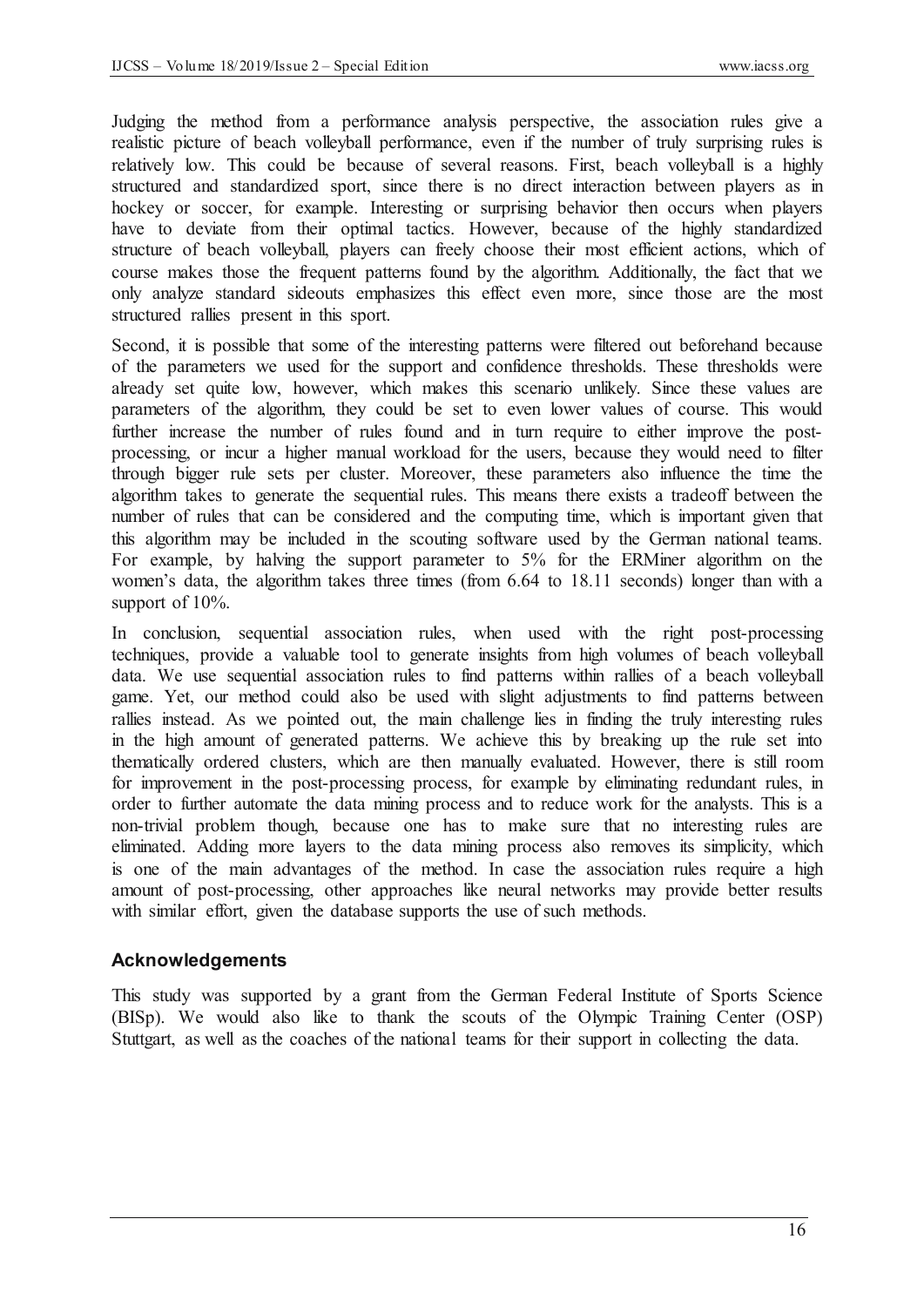Judging the method from a performance analysis perspective, the association rules give a realistic picture of beach volleyball performance, even if the number of truly surprising rules is relatively low. This could be because of several reasons. First, beach volleyball is a highly structured and standardized sport, since there is no direct interaction between players as in hockey or soccer, for example. Interesting or surprising behavior then occurs when players have to deviate from their optimal tactics. However, because of the highly standardized structure of beach volleyball, players can freely choose their most efficient actions, which of course makes those the frequent patterns found by the algorithm. Additionally, the fact that we only analyze standard sideouts emphasizes this effect even more, since those are the most structured rallies present in this sport.

Second, it is possible that some of the interesting patterns were filtered out beforehand because of the parameters we used for the support and confidence thresholds. These thresholds were already set quite low, however, which makes this scenario unlikely. Since these values are parameters of the algorithm, they could be set to even lower values of course. This would further increase the number of rules found and in turn require to either improve the postprocessing, or incur a higher manual workload for the users, because they would need to filter through bigger rule sets per cluster. Moreover, these parameters also influence the time the algorithm takes to generate the sequential rules. This means there exists a tradeoff between the number of rules that can be considered and the computing time, which is important given that this algorithm may be included in the scouting software used by the German national teams. For example, by halving the support parameter to 5% for the ERMiner algorithm on the women's data, the algorithm takes three times (from 6.64 to 18.11 seconds) longer than with a support of  $10\%$ .

In conclusion, sequential association rules, when used with the right post-processing techniques, provide a valuable tool to generate insights from high volumes of beach volleyball data. We use sequential association rules to find patterns within rallies of a beach volleyball game. Yet, our method could also be used with slight adjustments to find patterns between rallies instead. As we pointed out, the main challenge lies in finding the truly interesting rules in the high amount of generated patterns. We achieve this by breaking up the rule set into thematically ordered clusters, which are then manually evaluated. However, there is still room for improvement in the post-processing process, for example by eliminating redundant rules, in order to further automate the data mining process and to reduce work for the analysts. This is a non-trivial problem though, because one has to make sure that no interesting rules are eliminated. Adding more layers to the data mining process also removes its simplicity, which is one of the main advantages of the method. In case the association rules require a high amount of post-processing, other approaches like neural networks may provide better results with similar effort, given the database supports the use of such methods.

#### **Acknowledgements**

This study was supported by a grant from the German Federal Institute of Sports Science (BISp). We would also like to thank the scouts of the Olympic Training Center (OSP) Stuttgart, as well as the coaches of the national teams for their support in collecting the data.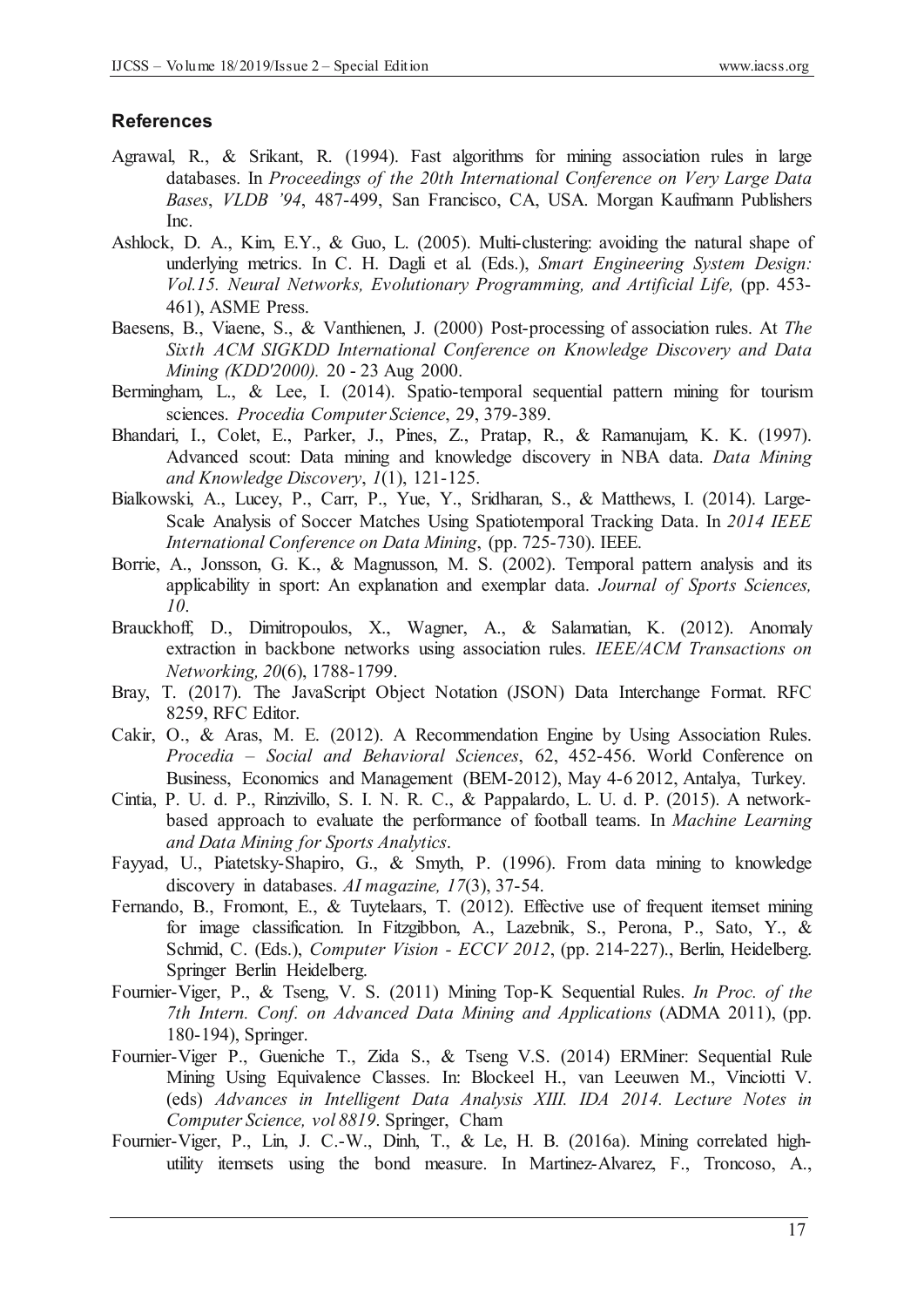#### **References**

- Agrawal, R., & Srikant, R. (1994). Fast algorithms for mining association rules in large databases. In *Proceedings of the 20th International Conference on Very Large Data Bases*, *VLDB '94*, 487-499, San Francisco, CA, USA. Morgan Kaufmann Publishers Inc.
- Ashlock, D. A., Kim, E.Y., & Guo, L. (2005). Multi-clustering: avoiding the natural shape of underlying metrics. In C. H. Dagli et al. (Eds.), *Smart Engineering System Design: Vol.15. Neural Networks, Evolutionary Programming, and Artificial Life,* (pp. 453- 461), ASME Press.
- Baesens, B., Viaene, S., & Vanthienen, J. (2000) Post-processing of association rules. At *The Sixth ACM SIGKDD International Conference on Knowledge Discovery and Data Mining (KDD'2000).* 20 - 23 Aug 2000.
- Bermingham, L., & Lee, I. (2014). Spatio-temporal sequential pattern mining for tourism sciences. *Procedia Computer Science*, 29, 379-389.
- Bhandari, I., Colet, E., Parker, J., Pines, Z., Pratap, R., & Ramanujam, K. K. (1997). Advanced scout: Data mining and knowledge discovery in NBA data. *Data Mining and Knowledge Discovery*, *1*(1), 121-125.
- Bialkowski, A., Lucey, P., Carr, P., Yue, Y., Sridharan, S., & Matthews, I. (2014). Large-Scale Analysis of Soccer Matches Using Spatiotemporal Tracking Data. In *2014 IEEE International Conference on Data Mining*, (pp. 725-730). IEEE.
- Borrie, A., Jonsson, G. K., & Magnusson, M. S. (2002). Temporal pattern analysis and its applicability in sport: An explanation and exemplar data. *Journal of Sports Sciences, 10*.
- Brauckhoff, D., Dimitropoulos, X., Wagner, A., & Salamatian, K. (2012). Anomaly extraction in backbone networks using association rules. *IEEE/ACM Transactions on Networking, 20*(6), 1788-1799.
- Bray, T. (2017). The JavaScript Object Notation (JSON) Data Interchange Format. RFC 8259, RFC Editor.
- Cakir, O., & Aras, M. E. (2012). A Recommendation Engine by Using Association Rules. *Procedia – Social and Behavioral Sciences*, 62, 452-456. World Conference on Business, Economics and Management (BEM-2012), May 4-6 2012, Antalya, Turkey.
- Cintia, P. U. d. P., Rinzivillo, S. I. N. R. C., & Pappalardo, L. U. d. P. (2015). A networkbased approach to evaluate the performance of football teams. In *Machine Learning and Data Mining for Sports Analytics*.
- Fayyad, U., Piatetsky-Shapiro, G., & Smyth, P. (1996). From data mining to knowledge discovery in databases. *AI magazine, 17*(3), 37-54.
- Fernando, B., Fromont, E., & Tuytelaars, T. (2012). Effective use of frequent itemset mining for image classification. In Fitzgibbon, A., Lazebnik, S., Perona, P., Sato, Y., & Schmid, C. (Eds.), *Computer Vision - ECCV 2012*, (pp. 214-227)., Berlin, Heidelberg. Springer Berlin Heidelberg.
- Fournier-Viger, P., & Tseng, V. S. (2011) Mining Top-K Sequential Rules. *In Proc. of the 7th Intern. Conf. on Advanced Data Mining and Applications* (ADMA 2011), (pp. 180-194), Springer.
- Fournier-Viger P., Gueniche T., Zida S., & Tseng V.S. (2014) ERMiner: Sequential Rule Mining Using Equivalence Classes. In: Blockeel H., van Leeuwen M., Vinciotti V. (eds) *Advances in Intelligent Data Analysis XIII. IDA 2014. Lecture Notes in Computer Science, vol 8819*. Springer, Cham
- Fournier-Viger, P., Lin, J. C.-W., Dinh, T., & Le, H. B. (2016a). Mining correlated highutility itemsets using the bond measure. In Martinez-Alvarez, F., Troncoso, A.,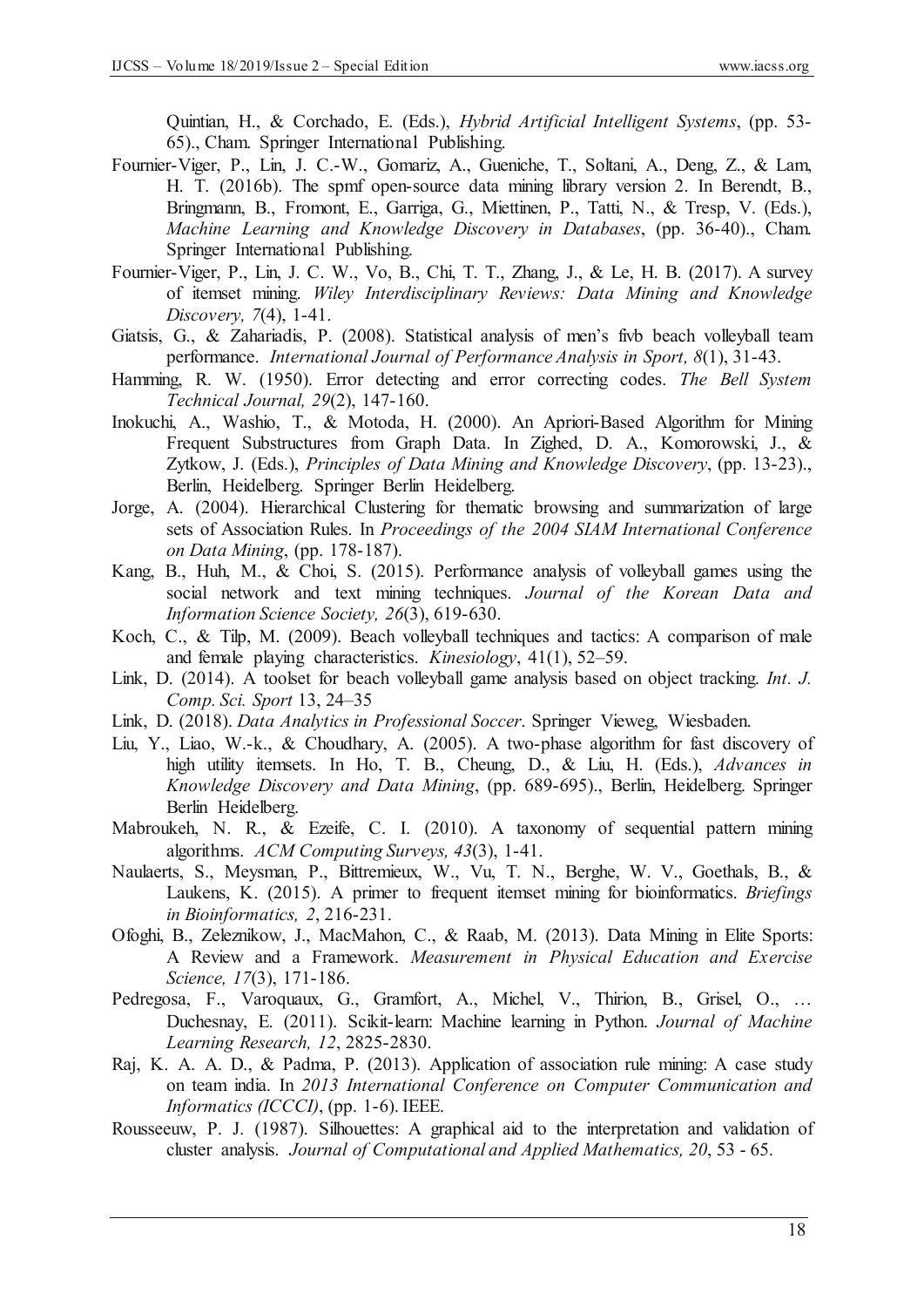Quintian, H., & Corchado, E. (Eds.), *Hybrid Artificial Intelligent Systems*, (pp. 53- 65)., Cham. Springer International Publishing.

- Fournier-Viger, P., Lin, J. C.-W., Gomariz, A., Gueniche, T., Soltani, A., Deng, Z., & Lam, H. T. (2016b). The spmf open-source data mining library version 2. In Berendt, B., Bringmann, B., Fromont, E., Garriga, G., Miettinen, P., Tatti, N., & Tresp, V. (Eds.), *Machine Learning and Knowledge Discovery in Databases*, (pp. 36-40)., Cham. Springer International Publishing.
- Fournier-Viger, P., Lin, J. C. W., Vo, B., Chi, T. T., Zhang, J., & Le, H. B. (2017). A survey of itemset mining. *Wiley Interdisciplinary Reviews: Data Mining and Knowledge Discovery, 7*(4), 1-41.
- Giatsis, G., & Zahariadis, P. (2008). Statistical analysis of men's fivb beach volleyball team performance. *International Journal of Performance Analysis in Sport, 8*(1), 31-43.
- Hamming, R. W. (1950). Error detecting and error correcting codes. *The Bell System Technical Journal, 29*(2), 147-160.
- Inokuchi, A., Washio, T., & Motoda, H. (2000). An Apriori-Based Algorithm for Mining Frequent Substructures from Graph Data. In Zighed, D. A., Komorowski, J., & Zytkow, J. (Eds.), *Principles of Data Mining and Knowledge Discovery*, (pp. 13-23)., Berlin, Heidelberg. Springer Berlin Heidelberg.
- Jorge, A. (2004). Hierarchical Clustering for thematic browsing and summarization of large sets of Association Rules. In *Proceedings of the 2004 SIAM International Conference on Data Mining*, (pp. 178-187).
- Kang, B., Huh, M., & Choi, S. (2015). Performance analysis of volleyball games using the social network and text mining techniques. *Journal of the Korean Data and Information Science Society, 26*(3), 619-630.
- Koch, C., & Tilp, M. (2009). Beach volleyball techniques and tactics: A comparison of male and female playing characteristics. *Kinesiology*, 41(1), 52–59.
- Link, D. (2014). A toolset for beach volleyball game analysis based on object tracking. *Int. J. Comp. Sci. Sport* 13, 24–35
- Link, D. (2018). *Data Analytics in Professional Soccer*. Springer Vieweg, Wiesbaden.
- Liu, Y., Liao, W.-k., & Choudhary, A. (2005). A two-phase algorithm for fast discovery of high utility itemsets. In Ho, T. B., Cheung, D., & Liu, H. (Eds.), *Advances in Knowledge Discovery and Data Mining*, (pp. 689-695)., Berlin, Heidelberg. Springer Berlin Heidelberg.
- Mabroukeh, N. R., & Ezeife, C. I. (2010). A taxonomy of sequential pattern mining algorithms. *ACM Computing Surveys, 43*(3), 1-41.
- Naulaerts, S., Meysman, P., Bittremieux, W., Vu, T. N., Berghe, W. V., Goethals, B., & Laukens, K. (2015). A primer to frequent itemset mining for bioinformatics. *Briefings in Bioinformatics, 2*, 216-231.
- Ofoghi, B., Zeleznikow, J., MacMahon, C., & Raab, M. (2013). Data Mining in Elite Sports: A Review and a Framework. *Measurement in Physical Education and Exercise Science, 17*(3), 171-186.
- Pedregosa, F., Varoquaux, G., Gramfort, A., Michel, V., Thirion, B., Grisel, O., … Duchesnay, E. (2011). Scikit-learn: Machine learning in Python. *Journal of Machine Learning Research, 12*, 2825-2830.
- Raj, K. A. A. D., & Padma, P. (2013). Application of association rule mining: A case study on team india. In *2013 International Conference on Computer Communication and Informatics (ICCCI)*, (pp. 1-6). IEEE.
- Rousseeuw, P. J. (1987). Silhouettes: A graphical aid to the interpretation and validation of cluster analysis. *Journal of Computational and Applied Mathematics, 20*, 53 - 65.